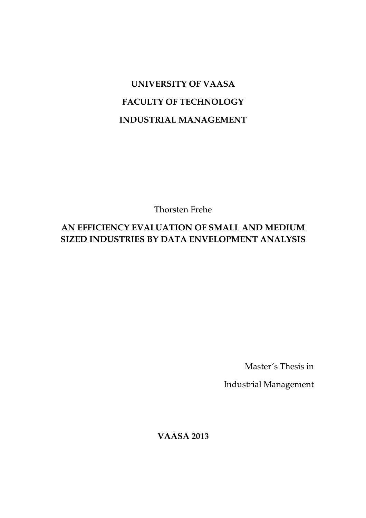# **UNIVERSITY OF VAASA FACULTY OF TECHNOLOGY INDUSTRIAL MANAGEMENT**

Thorsten Frehe

# **AN EFFICIENCY EVALUATION OF SMALL AND MEDIUM SIZED INDUSTRIES BY DATA ENVELOPMENT ANALYSIS**

Master´s Thesis in

Industrial Management

**VAASA 2013**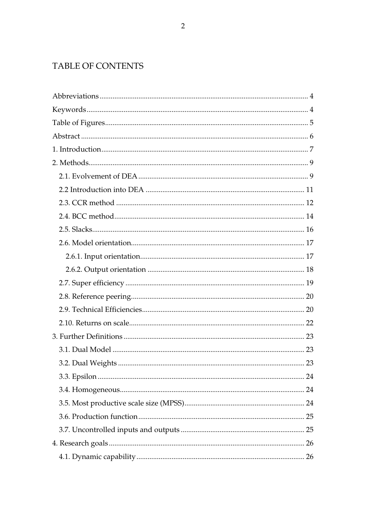# TABLE OF CONTENTS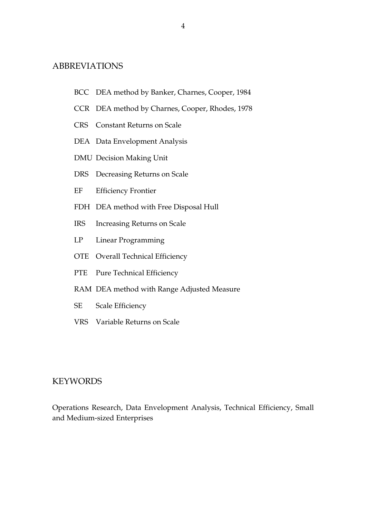# ABBREVIATIONS

- BCC DEA method by Banker, Charnes, Cooper, 1984
- CCR DEA method by Charnes, Cooper, Rhodes, 1978
- CRS Constant Returns on Scale
- DEA Data Envelopment Analysis
- DMU Decision Making Unit
- DRS Decreasing Returns on Scale
- EF Efficiency Frontier
- FDH DEA method with Free Disposal Hull
- IRS Increasing Returns on Scale
- LP Linear Programming
- OTE Overall Technical Efficiency
- PTE Pure Technical Efficiency
- RAM DEA method with Range Adjusted Measure
- SE Scale Efficiency
- VRS Variable Returns on Scale

# **KEYWORDS**

Operations Research, Data Envelopment Analysis, Technical Efficiency, Small and Medium-sized Enterprises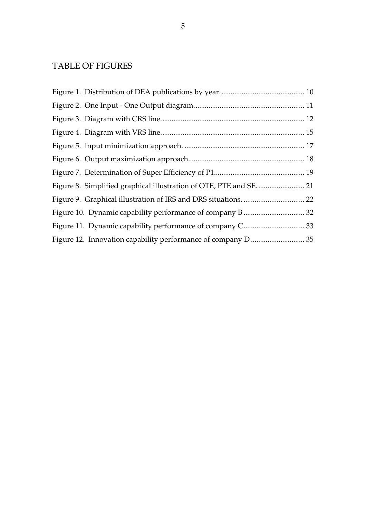# TABLE OF FIGURES

| Figure 8. Simplified graphical illustration of OTE, PTE and SE 21 |  |
|-------------------------------------------------------------------|--|
|                                                                   |  |
|                                                                   |  |
|                                                                   |  |
|                                                                   |  |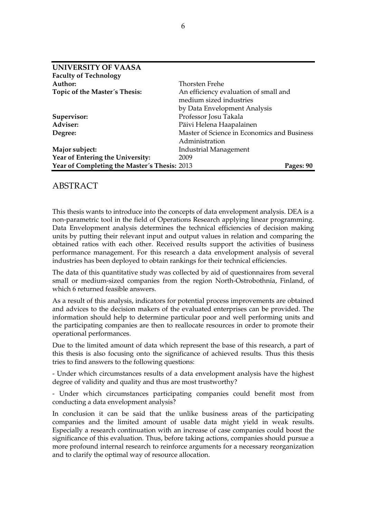| <b>UNIVERSITY OF VAASA</b>                   |                                             |  |  |  |
|----------------------------------------------|---------------------------------------------|--|--|--|
| <b>Faculty of Technology</b>                 |                                             |  |  |  |
| Author:                                      | Thorsten Frehe                              |  |  |  |
| Topic of the Master's Thesis:                | An efficiency evaluation of small and       |  |  |  |
|                                              | medium sized industries                     |  |  |  |
|                                              | by Data Envelopment Analysis                |  |  |  |
| Supervisor:                                  | Professor Josu Takala                       |  |  |  |
| Adviser:                                     | Päivi Helena Haapalainen                    |  |  |  |
| Degree:                                      | Master of Science in Economics and Business |  |  |  |
|                                              | Administration                              |  |  |  |
| Major subject:                               | Industrial Management                       |  |  |  |
| Year of Entering the University:             | 2009                                        |  |  |  |
| Year of Completing the Master's Thesis: 2013 | Pages: 90                                   |  |  |  |

# ABSTRACT

This thesis wants to introduce into the concepts of data envelopment analysis. DEA is a non-parametric tool in the field of Operations Research applying linear programming. Data Envelopment analysis determines the technical efficiencies of decision making units by putting their relevant input and output values in relation and comparing the obtained ratios with each other. Received results support the activities of business performance management. For this research a data envelopment analysis of several industries has been deployed to obtain rankings for their technical efficiencies.

The data of this quantitative study was collected by aid of questionnaires from several small or medium-sized companies from the region North-Ostrobothnia, Finland, of which 6 returned feasible answers.

As a result of this analysis, indicators for potential process improvements are obtained and advices to the decision makers of the evaluated enterprises can be provided. The information should help to determine particular poor and well performing units and the participating companies are then to reallocate resources in order to promote their operational performances.

Due to the limited amount of data which represent the base of this research, a part of this thesis is also focusing onto the significance of achieved results. Thus this thesis tries to find answers to the following questions:

- Under which circumstances results of a data envelopment analysis have the highest degree of validity and quality and thus are most trustworthy?

- Under which circumstances participating companies could benefit most from conducting a data envelopment analysis?

In conclusion it can be said that the unlike business areas of the participating companies and the limited amount of usable data might yield in weak results. Especially a research continuation with an increase of case companies could boost the significance of this evaluation. Thus, before taking actions, companies should pursue a more profound internal research to reinforce arguments for a necessary reorganization and to clarify the optimal way of resource allocation.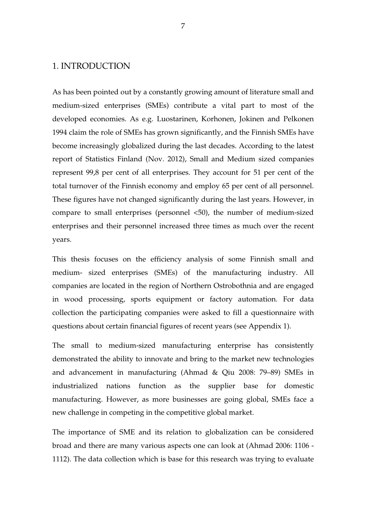# 1. INTRODUCTION

As has been pointed out by a constantly growing amount of literature small and medium-sized enterprises (SMEs) contribute a vital part to most of the developed economies. As e.g. Luostarinen, Korhonen, Jokinen and Pelkonen 1994 claim the role of SMEs has grown significantly, and the Finnish SMEs have become increasingly globalized during the last decades. According to the latest report of Statistics Finland (Nov. 2012), Small and Medium sized companies represent 99,8 per cent of all enterprises. They account for 51 per cent of the total turnover of the Finnish economy and employ 65 per cent of all personnel. These figures have not changed significantly during the last years. However, in compare to small enterprises (personnel <50), the number of medium-sized enterprises and their personnel increased three times as much over the recent years.

This thesis focuses on the efficiency analysis of some Finnish small and medium- sized enterprises (SMEs) of the manufacturing industry. All companies are located in the region of Northern Ostrobothnia and are engaged in wood processing, sports equipment or factory automation. For data collection the participating companies were asked to fill a questionnaire with questions about certain financial figures of recent years (see Appendix 1).

The small to medium-sized manufacturing enterprise has consistently demonstrated the ability to innovate and bring to the market new technologies and advancement in manufacturing (Ahmad & Qiu 2008: 79–89) SMEs in industrialized nations function as the supplier base for domestic manufacturing. However, as more businesses are going global, SMEs face a new challenge in competing in the competitive global market.

The importance of SME and its relation to globalization can be considered broad and there are many various aspects one can look at (Ahmad 2006: 1106 - 1112). The data collection which is base for this research was trying to evaluate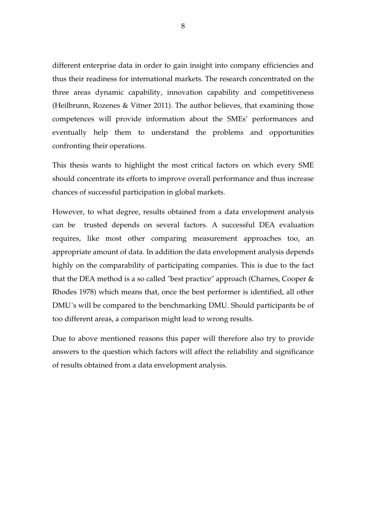different enterprise data in order to gain insight into company efficiencies and thus their readiness for international markets. The research concentrated on the three areas dynamic capability, innovation capability and competitiveness (Heilbrunn, Rozenes & Vitner 2011). The author believes, that examining those competences will provide information about the SMEs' performances and eventually help them to understand the problems and opportunities confronting their operations.

This thesis wants to highlight the most critical factors on which every SME should concentrate its efforts to improve overall performance and thus increase chances of successful participation in global markets.

However, to what degree, results obtained from a data envelopment analysis can be trusted depends on several factors. A successful DEA evaluation requires, like most other comparing measurement approaches too, an appropriate amount of data. In addition the data envelopment analysis depends highly on the comparability of participating companies. This is due to the fact that the DEA method is a so called "best practice" approach (Charnes, Cooper & Rhodes 1978) which means that, once the best performer is identified, all other DMU´s will be compared to the benchmarking DMU. Should participants be of too different areas, a comparison might lead to wrong results.

Due to above mentioned reasons this paper will therefore also try to provide answers to the question which factors will affect the reliability and significance of results obtained from a data envelopment analysis.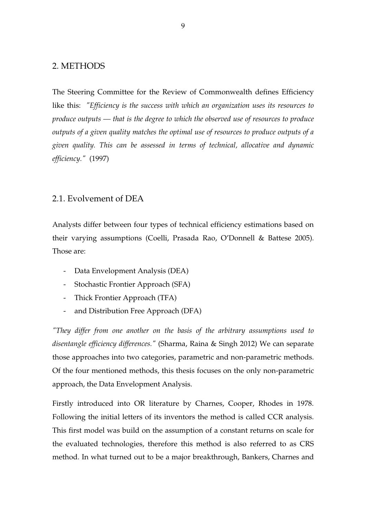### 2. METHODS

The Steering Committee for the Review of Commonwealth defines Efficiency like this: *"Efficiency is the success with which an organization uses its resources to produce outputs — that is the degree to which the observed use of resources to produce outputs of a given quality matches the optimal use of resources to produce outputs of a given quality. This can be assessed in terms of technical, allocative and dynamic efficiency."* (1997)

# 2.1. Evolvement of DEA

Analysts differ between four types of technical efficiency estimations based on their varying assumptions (Coelli, Prasada Rao, O'Donnell & Battese 2005). Those are:

- Data Envelopment Analysis (DEA)
- Stochastic Frontier Approach (SFA)
- Thick Frontier Approach (TFA)
- and Distribution Free Approach (DFA)

*"They differ from one another on the basis of the arbitrary assumptions used to disentangle efficiency differences."* (Sharma, Raina & Singh 2012) We can separate those approaches into two categories, parametric and non-parametric methods. Of the four mentioned methods, this thesis focuses on the only non-parametric approach, the Data Envelopment Analysis.

Firstly introduced into OR literature by Charnes, Cooper, Rhodes in 1978. Following the initial letters of its inventors the method is called CCR analysis. This first model was build on the assumption of a constant returns on scale for the evaluated technologies, therefore this method is also referred to as CRS method. In what turned out to be a major breakthrough, Bankers, Charnes and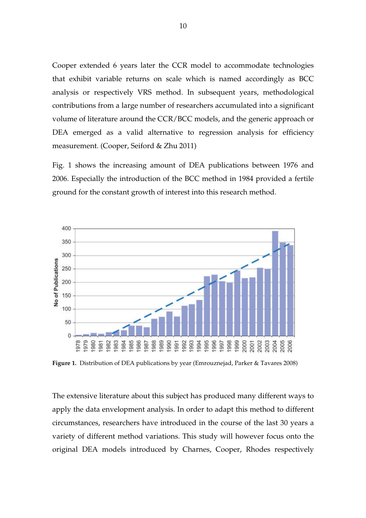Cooper extended 6 years later the CCR model to accommodate technologies that exhibit variable returns on scale which is named accordingly as BCC analysis or respectively VRS method. In subsequent years, methodological contributions from a large number of researchers accumulated into a significant volume of literature around the CCR/BCC models, and the generic approach or DEA emerged as a valid alternative to regression analysis for efficiency measurement. (Cooper, Seiford & Zhu 2011)

Fig. 1 shows the increasing amount of DEA publications between 1976 and 2006. Especially the introduction of the BCC method in 1984 provided a fertile ground for the constant growth of interest into this research method.



**Figure 1.** Distribution of DEA publications by year (Emrouznejad, Parker & Tavares 2008)

The extensive literature about this subject has produced many different ways to apply the data envelopment analysis. In order to adapt this method to different circumstances, researchers have introduced in the course of the last 30 years a variety of different method variations. This study will however focus onto the original DEA models introduced by Charnes, Cooper, Rhodes respectively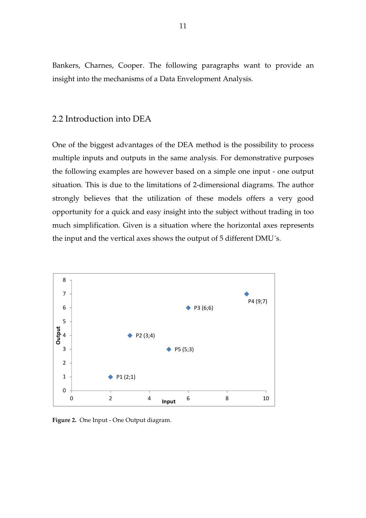Bankers, Charnes, Cooper. The following paragraphs want to provide an insight into the mechanisms of a Data Envelopment Analysis.

# 2.2 Introduction into DEA

One of the biggest advantages of the DEA method is the possibility to process multiple inputs and outputs in the same analysis. For demonstrative purposes the following examples are however based on a simple one input - one output situation. This is due to the limitations of 2-dimensional diagrams. The author strongly believes that the utilization of these models offers a very good opportunity for a quick and easy insight into the subject without trading in too much simplification. Given is a situation where the horizontal axes represents the input and the vertical axes shows the output of 5 different DMU´s.



**Figure 2.** One Input - One Output diagram.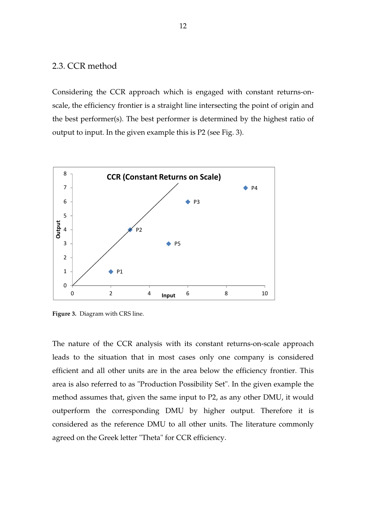# 2.3. CCR method

Considering the CCR approach which is engaged with constant returns-onscale, the efficiency frontier is a straight line intersecting the point of origin and the best performer(s). The best performer is determined by the highest ratio of output to input. In the given example this is P2 (see Fig. 3).



**Figure 3.** Diagram with CRS line.

The nature of the CCR analysis with its constant returns-on-scale approach leads to the situation that in most cases only one company is considered efficient and all other units are in the area below the efficiency frontier. This area is also referred to as "Production Possibility Set". In the given example the method assumes that, given the same input to P2, as any other DMU, it would outperform the corresponding DMU by higher output. Therefore it is considered as the reference DMU to all other units. The literature commonly agreed on the Greek letter "Theta" for CCR efficiency.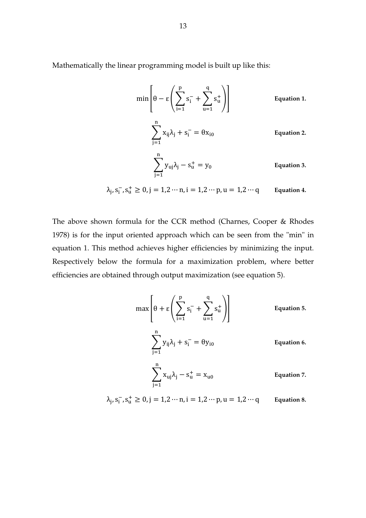Mathematically the linear programming model is built up like this:

$$
\min\left[\theta - \epsilon \left(\sum_{i=1}^{p} s_i^{-} + \sum_{u=1}^{q} s_u^{+}\right)\right]
$$
\nEquation 1.  
\n
$$
\sum_{j=1}^{n} x_{ij} \lambda_j + s_i^{-} = \theta x_{i0}
$$
\nEquation 2.  
\nEquation 3.  
\nEquation 4.  
\nEquation 5.  
\nEquation 6.  
\nEquation 7.  
\nEquation 8.

 $\lambda_j$ ,  $s_i^-, s_u^+ \ge 0$ ,  $j = 1, 2 \cdots n$ ,  $i = 1, 2 \cdots p$ ,  $u = 1, 2 \cdots q$  **Equation 4.** 

The above shown formula for the CCR method (Charnes, Cooper & Rhodes 1978) is for the input oriented approach which can be seen from the "min" in equation 1. This method achieves higher efficiencies by minimizing the input. Respectively below the formula for a maximization problem, where better efficiencies are obtained through output maximization (see equation 5).

$$
\max \left[\theta + \epsilon \left(\sum_{i=1}^{p} s_i^{-} + \sum_{u=1}^{q} s_u^{+}\right)\right]
$$
\nEquation 5.  
\n
$$
\sum_{j=1}^{n} y_{ij} \lambda_j + s_i^{-} = \theta y_{i0}
$$
\nEquation 6.  
\nEquation 7.  
\nEquation 7.

 $\lambda_j$ ,  $s_i^-, s_u^+ \ge 0$ ,  $j = 1, 2 \cdots n$ ,  $i = 1, 2 \cdots p$ ,  $u = 1, 2 \cdots q$  **Equation 8.**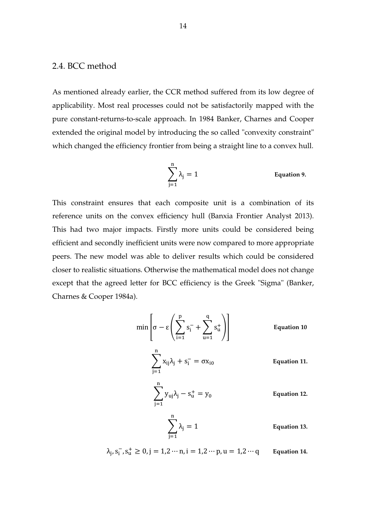# 2.4. BCC method

As mentioned already earlier, the CCR method suffered from its low degree of applicability. Most real processes could not be satisfactorily mapped with the pure constant-returns-to-scale approach. In 1984 Banker, Charnes and Cooper extended the original model by introducing the so called "convexity constraint" which changed the efficiency frontier from being a straight line to a convex hull.

$$
\sum_{j=1}^{n} \lambda_j = 1
$$
 Equation 9.

This constraint ensures that each composite unit is a combination of its reference units on the convex efficiency hull (Banxia Frontier Analyst 2013). This had two major impacts. Firstly more units could be considered being efficient and secondly inefficient units were now compared to more appropriate peers. The new model was able to deliver results which could be considered closer to realistic situations. Otherwise the mathematical model does not change except that the agreed letter for BCC efficiency is the Greek "Sigma" (Banker, Charnes & Cooper 1984a).

$$
\min\left[\sigma - \epsilon \left(\sum_{i=1}^{p} s_i^{-} + \sum_{u=1}^{q} s_u^{+}\right)\right]
$$
\nEquation 10  
\n
$$
\sum_{j=1}^{n} x_{ij} \lambda_j + s_i^{-} = \sigma x_{i0}
$$
\nEquation 11.  
\n
$$
\sum_{j=1}^{n} y_{uj} \lambda_j - s_u^{+} = y_0
$$
\nEquation 12.  
\nEquation 13.

$$
\lambda_j, s_i^-, s_u^+ \ge 0, j = 1, 2 \cdots n, i = 1, 2 \cdots p, u = 1, 2 \cdots q
$$
 Equation 14.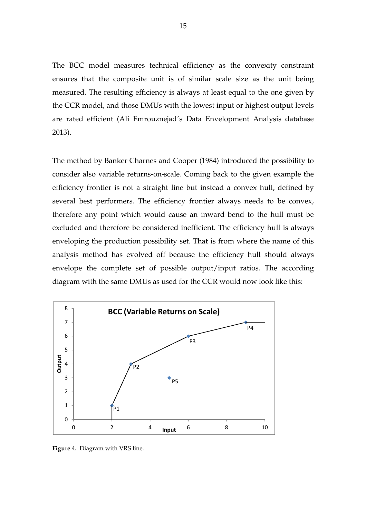The BCC model measures technical efficiency as the convexity constraint ensures that the composite unit is of similar scale size as the unit being measured. The resulting efficiency is always at least equal to the one given by the CCR model, and those DMUs with the lowest input or highest output levels are rated efficient (Ali Emrouznejad´s Data Envelopment Analysis database 2013).

The method by Banker Charnes and Cooper (1984) introduced the possibility to consider also variable returns-on-scale. Coming back to the given example the efficiency frontier is not a straight line but instead a convex hull, defined by several best performers. The efficiency frontier always needs to be convex, therefore any point which would cause an inward bend to the hull must be excluded and therefore be considered inefficient. The efficiency hull is always enveloping the production possibility set. That is from where the name of this analysis method has evolved off because the efficiency hull should always envelope the complete set of possible output/input ratios. The according diagram with the same DMUs as used for the CCR would now look like this:



**Figure 4.** Diagram with VRS line.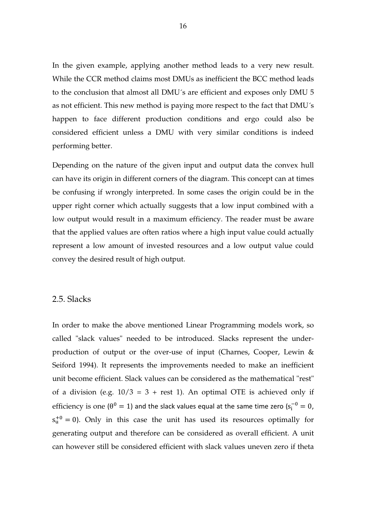In the given example, applying another method leads to a very new result. While the CCR method claims most DMUs as inefficient the BCC method leads to the conclusion that almost all DMU´s are efficient and exposes only DMU 5 as not efficient. This new method is paying more respect to the fact that DMU´s happen to face different production conditions and ergo could also be considered efficient unless a DMU with very similar conditions is indeed performing better.

Depending on the nature of the given input and output data the convex hull can have its origin in different corners of the diagram. This concept can at times be confusing if wrongly interpreted. In some cases the origin could be in the upper right corner which actually suggests that a low input combined with a low output would result in a maximum efficiency. The reader must be aware that the applied values are often ratios where a high input value could actually represent a low amount of invested resources and a low output value could convey the desired result of high output.

#### 2.5. Slacks

In order to make the above mentioned Linear Programming models work, so called "slack values" needed to be introduced. Slacks represent the underproduction of output or the over-use of input (Charnes, Cooper, Lewin & Seiford 1994). It represents the improvements needed to make an inefficient unit become efficient. Slack values can be considered as the mathematical "rest" of a division (e.g.  $10/3 = 3 + \text{rest}$  1). An optimal OTE is achieved only if efficiency is one ( $\theta^0 = 1$ ) and the slack values equal at the same time zero ( $s_i^{-0} = 0$ ,  $s<sub>u</sub><sup>+0</sup> = 0$ ). Only in this case the unit has used its resources optimally for generating output and therefore can be considered as overall efficient. A unit can however still be considered efficient with slack values uneven zero if theta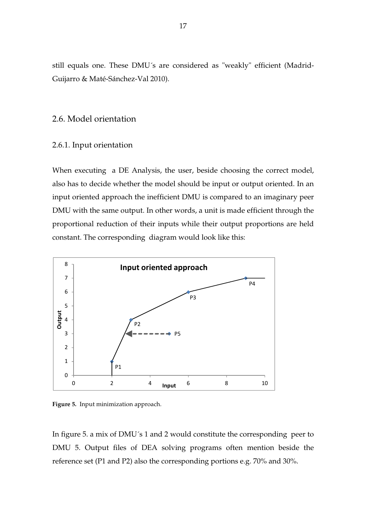still equals one. These DMU´s are considered as "weakly" efficient (Madrid-Guijarro & Maté-Sánchez-Val 2010).

# 2.6. Model orientation

#### 2.6.1. Input orientation

When executing a DE Analysis, the user, beside choosing the correct model, also has to decide whether the model should be input or output oriented. In an input oriented approach the inefficient DMU is compared to an imaginary peer DMU with the same output. In other words, a unit is made efficient through the proportional reduction of their inputs while their output proportions are held constant. The corresponding diagram would look like this:



**Figure 5.** Input minimization approach.

In figure 5. a mix of DMU´s 1 and 2 would constitute the corresponding peer to DMU 5. Output files of DEA solving programs often mention beside the reference set (P1 and P2) also the corresponding portions e.g. 70% and 30%.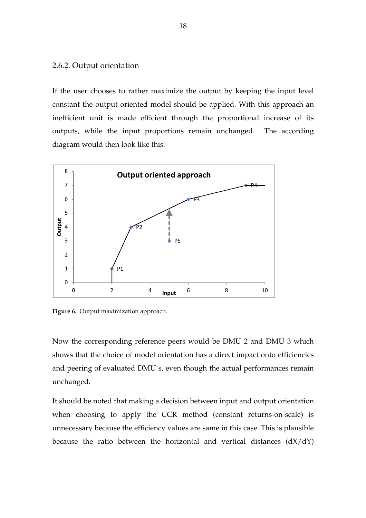#### 2.6.2. Output orientation

If the user chooses to rather maximize the output by keeping the input level constant the output oriented model should be applied. With this approach an inefficient unit is made efficient through the proportional increase of its outputs, while the input proportions remain unchanged. The according diagram would then look like this:



**Figure 6.** Output maximization approach.

Now the corresponding reference peers would be DMU 2 and DMU 3 which shows that the choice of model orientation has a direct impact onto efficiencies and peering of evaluated DMU´s, even though the actual performances remain unchanged.

It should be noted that making a decision between input and output orientation when choosing to apply the CCR method (constant returns-on-scale) is unnecessary because the efficiency values are same in this case. This is plausible because the ratio between the horizontal and vertical distances  $(dX/dY)$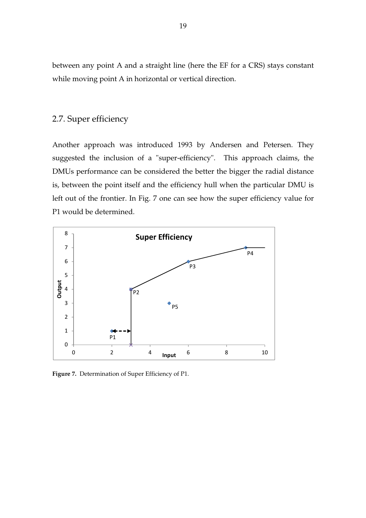between any point A and a straight line (here the EF for a CRS) stays constant while moving point A in horizontal or vertical direction.

# 2.7. Super efficiency

Another approach was introduced 1993 by Andersen and Petersen. They suggested the inclusion of a "super-efficiency". This approach claims, the DMUs performance can be considered the better the bigger the radial distance is, between the point itself and the efficiency hull when the particular DMU is left out of the frontier. In Fig. 7 one can see how the super efficiency value for P1 would be determined.



**Figure 7.** Determination of Super Efficiency of P1.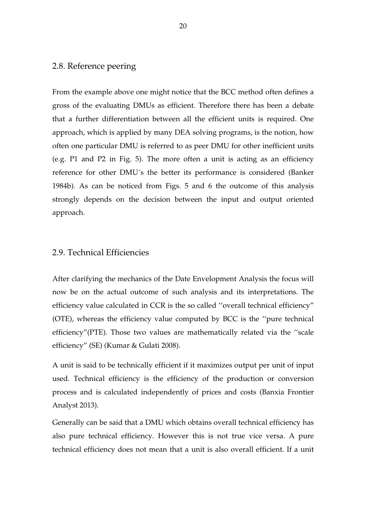# 2.8. Reference peering

From the example above one might notice that the BCC method often defines a gross of the evaluating DMUs as efficient. Therefore there has been a debate that a further differentiation between all the efficient units is required. One approach, which is applied by many DEA solving programs, is the notion, how often one particular DMU is referred to as peer DMU for other inefficient units (e.g. P1 and P2 in Fig. 5). The more often a unit is acting as an efficiency reference for other DMU´s the better its performance is considered (Banker 1984b). As can be noticed from Figs. 5 and 6 the outcome of this analysis strongly depends on the decision between the input and output oriented approach.

# 2.9. Technical Efficiencies

After clarifying the mechanics of the Date Envelopment Analysis the focus will now be on the actual outcome of such analysis and its interpretations. The efficiency value calculated in CCR is the so called ''overall technical efficiency" (OTE), whereas the efficiency value computed by BCC is the ''pure technical efficiency"(PTE). Those two values are mathematically related via the ''scale efficiency" (SE) (Kumar & Gulati 2008).

A unit is said to be technically efficient if it maximizes output per unit of input used. Technical efficiency is the efficiency of the production or conversion process and is calculated independently of prices and costs (Banxia Frontier Analyst 2013).

Generally can be said that a DMU which obtains overall technical efficiency has also pure technical efficiency. However this is not true vice versa. A pure technical efficiency does not mean that a unit is also overall efficient. If a unit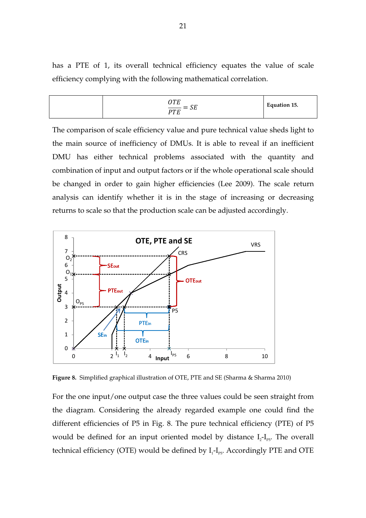has a PTE of 1, its overall technical efficiency equates the value of scale efficiency complying with the following mathematical correlation.

$$
\frac{OTE}{PTE} = SE
$$
 Equation 15.

The comparison of scale efficiency value and pure technical value sheds light to the main source of inefficiency of DMUs. It is able to reveal if an inefficient DMU has either technical problems associated with the quantity and combination of input and output factors or if the whole operational scale should be changed in order to gain higher efficiencies (Lee 2009). The scale return analysis can identify whether it is in the stage of increasing or decreasing returns to scale so that the production scale can be adjusted accordingly.



**Figure 8.** Simplified graphical illustration of OTE, PTE and SE (Sharma & Sharma 2010)

For the one input/one output case the three values could be seen straight from the diagram. Considering the already regarded example one could find the different efficiencies of P5 in Fig. 8. The pure technical efficiency (PTE) of P5 would be defined for an input oriented model by distance  $I_2-I_{PS}$ . The overall technical efficiency (OTE) would be defined by  $I_1$ - $I_{PS}$ . Accordingly PTE and OTE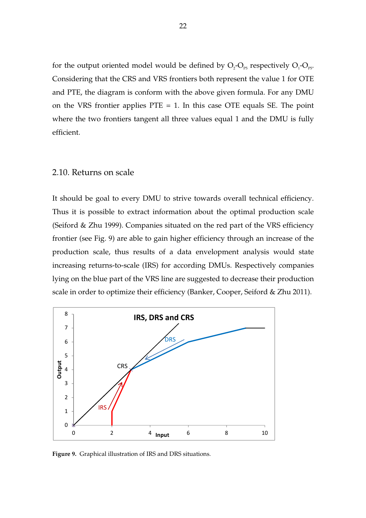for the output oriented model would be defined by  $\mathrm{O}_{2}\mathrm{-}\mathrm{O}_{\mathrm{P5}}$  respectively  $\mathrm{O}_{1}\mathrm{-}\mathrm{O}_{\mathrm{P5}}$ . Considering that the CRS and VRS frontiers both represent the value 1 for OTE and PTE, the diagram is conform with the above given formula. For any DMU on the VRS frontier applies  $PTE = 1$ . In this case OTE equals SE. The point where the two frontiers tangent all three values equal 1 and the DMU is fully efficient.

### 2.10. Returns on scale

It should be goal to every DMU to strive towards overall technical efficiency. Thus it is possible to extract information about the optimal production scale (Seiford & Zhu 1999). Companies situated on the red part of the VRS efficiency frontier (see Fig. 9) are able to gain higher efficiency through an increase of the production scale, thus results of a data envelopment analysis would state increasing returns-to-scale (IRS) for according DMUs. Respectively companies lying on the blue part of the VRS line are suggested to decrease their production scale in order to optimize their efficiency (Banker, Cooper, Seiford & Zhu 2011).



**Figure 9.** Graphical illustration of IRS and DRS situations.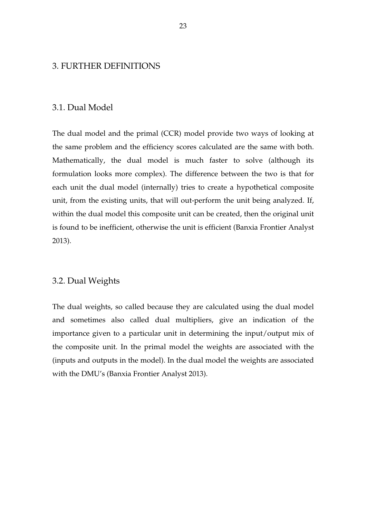### 3. FURTHER DEFINITIONS

# 3.1. Dual Model

The dual model and the primal (CCR) model provide two ways of looking at the same problem and the efficiency scores calculated are the same with both. Mathematically, the dual model is much faster to solve (although its formulation looks more complex). The difference between the two is that for each unit the dual model (internally) tries to create a hypothetical composite unit, from the existing units, that will out-perform the unit being analyzed. If, within the dual model this composite unit can be created, then the original unit is found to be inefficient, otherwise the unit is efficient (Banxia Frontier Analyst 2013).

#### 3.2. Dual Weights

The dual weights, so called because they are calculated using the dual model and sometimes also called dual multipliers, give an indication of the importance given to a particular unit in determining the input/output mix of the composite unit. In the primal model the weights are associated with the (inputs and outputs in the model). In the dual model the weights are associated with the DMU's (Banxia Frontier Analyst 2013).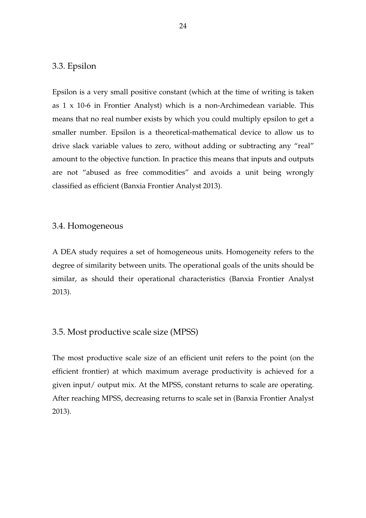# 3.3. Epsilon

Epsilon is a very small positive constant (which at the time of writing is taken as 1 x 10-6 in Frontier Analyst) which is a non-Archimedean variable. This means that no real number exists by which you could multiply epsilon to get a smaller number. Epsilon is a theoretical-mathematical device to allow us to drive slack variable values to zero, without adding or subtracting any "real" amount to the objective function. In practice this means that inputs and outputs are not "abused as free commodities" and avoids a unit being wrongly classified as efficient (Banxia Frontier Analyst 2013).

#### 3.4. Homogeneous

A DEA study requires a set of homogeneous units. Homogeneity refers to the degree of similarity between units. The operational goals of the units should be similar, as should their operational characteristics (Banxia Frontier Analyst 2013).

# 3.5. Most productive scale size (MPSS)

The most productive scale size of an efficient unit refers to the point (on the efficient frontier) at which maximum average productivity is achieved for a given input/ output mix. At the MPSS, constant returns to scale are operating. After reaching MPSS, decreasing returns to scale set in (Banxia Frontier Analyst 2013).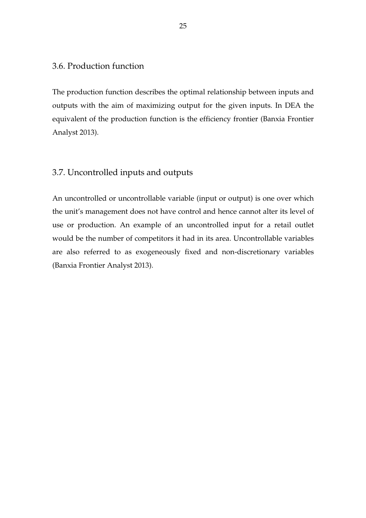# 3.6. Production function

The production function describes the optimal relationship between inputs and outputs with the aim of maximizing output for the given inputs. In DEA the equivalent of the production function is the efficiency frontier (Banxia Frontier Analyst 2013).

# 3.7. Uncontrolled inputs and outputs

An uncontrolled or uncontrollable variable (input or output) is one over which the unit's management does not have control and hence cannot alter its level of use or production. An example of an uncontrolled input for a retail outlet would be the number of competitors it had in its area. Uncontrollable variables are also referred to as exogeneously fixed and non-discretionary variables (Banxia Frontier Analyst 2013).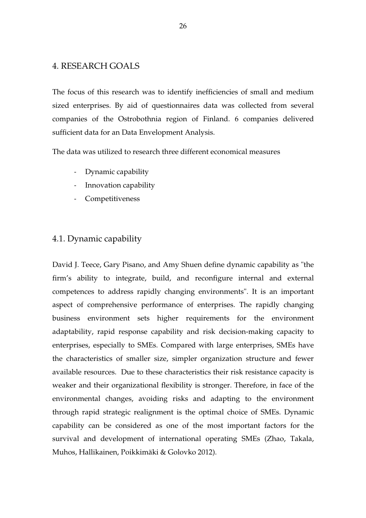# 4. RESEARCH GOALS

The focus of this research was to identify inefficiencies of small and medium sized enterprises. By aid of questionnaires data was collected from several companies of the Ostrobothnia region of Finland. 6 companies delivered sufficient data for an Data Envelopment Analysis.

The data was utilized to research three different economical measures

- Dynamic capability
- Innovation capability
- Competitiveness

# 4.1. Dynamic capability

David J. Teece, Gary Pisano, and Amy Shuen define dynamic capability as "the firm's ability to integrate, build, and reconfigure internal and external competences to address rapidly changing environments". It is an important aspect of comprehensive performance of enterprises. The rapidly changing business environment sets higher requirements for the environment adaptability, rapid response capability and risk decision-making capacity to enterprises, especially to SMEs. Compared with large enterprises, SMEs have the characteristics of smaller size, simpler organization structure and fewer available resources. Due to these characteristics their risk resistance capacity is weaker and their organizational flexibility is stronger. Therefore, in face of the environmental changes, avoiding risks and adapting to the environment through rapid strategic realignment is the optimal choice of SMEs. Dynamic capability can be considered as one of the most important factors for the survival and development of international operating SMEs (Zhao, Takala, Muhos, Hallikainen, Poikkimäki & Golovko 2012).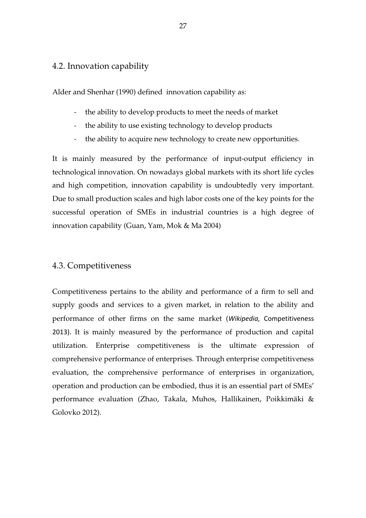# 4.2. Innovation capability

Alder and Shenhar (1990) defined innovation capability as:

- the ability to develop products to meet the needs of market
- the ability to use existing technology to develop products
- the ability to acquire new technology to create new opportunities.

It is mainly measured by the performance of input-output efficiency in technological innovation. On nowadays global markets with its short life cycles and high competition, innovation capability is undoubtedly very important. Due to small production scales and high labor costs one of the key points for the successful operation of SMEs in industrial countries is a high degree of innovation capability (Guan, Yam, Mok & Ma 2004)

# 4.3. Competitiveness

Competitiveness pertains to the ability and performance of a firm to sell and supply goods and services to a given market, in relation to the ability and performance of other firms on the same market (*Wikipedia,* Competitiveness 2013). It is mainly measured by the performance of production and capital utilization. Enterprise competitiveness is the ultimate expression of comprehensive performance of enterprises. Through enterprise competitiveness evaluation, the comprehensive performance of enterprises in organization, operation and production can be embodied, thus it is an essential part of SMEs' performance evaluation (Zhao, Takala, Muhos, Hallikainen, Poikkimäki & Golovko 2012).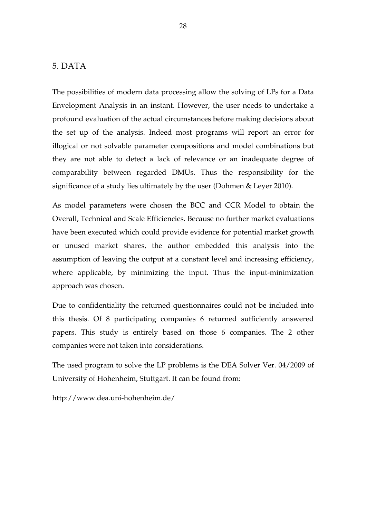# 5. DATA

The possibilities of modern data processing allow the solving of LPs for a Data Envelopment Analysis in an instant. However, the user needs to undertake a profound evaluation of the actual circumstances before making decisions about the set up of the analysis. Indeed most programs will report an error for illogical or not solvable parameter compositions and model combinations but they are not able to detect a lack of relevance or an inadequate degree of comparability between regarded DMUs. Thus the responsibility for the significance of a study lies ultimately by the user (Dohmen & Leyer 2010).

As model parameters were chosen the BCC and CCR Model to obtain the Overall, Technical and Scale Efficiencies. Because no further market evaluations have been executed which could provide evidence for potential market growth or unused market shares, the author embedded this analysis into the assumption of leaving the output at a constant level and increasing efficiency, where applicable, by minimizing the input. Thus the input-minimization approach was chosen.

Due to confidentiality the returned questionnaires could not be included into this thesis. Of 8 participating companies 6 returned sufficiently answered papers. This study is entirely based on those 6 companies. The 2 other companies were not taken into considerations.

The used program to solve the LP problems is the DEA Solver Ver. 04/2009 of University of Hohenheim, Stuttgart. It can be found from:

http://www.dea.uni-hohenheim.de/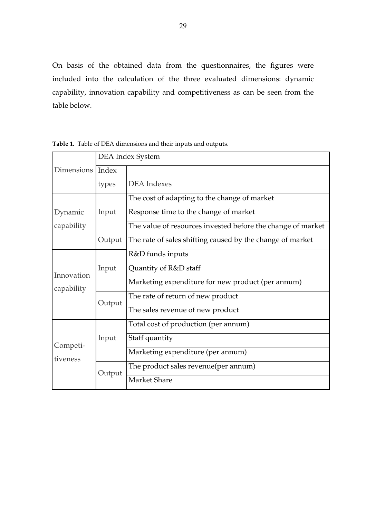On basis of the obtained data from the questionnaires, the figures were included into the calculation of the three evaluated dimensions: dynamic capability, innovation capability and competitiveness as can be seen from the table below.

|                          | DEA Index System |                                                             |  |  |  |
|--------------------------|------------------|-------------------------------------------------------------|--|--|--|
| Dimensions Index         |                  |                                                             |  |  |  |
|                          | types            | <b>DEA</b> Indexes                                          |  |  |  |
|                          | Input            | The cost of adapting to the change of market                |  |  |  |
| Dynamic                  |                  | Response time to the change of market                       |  |  |  |
| capability               |                  | The value of resources invested before the change of market |  |  |  |
|                          | Output           | The rate of sales shifting caused by the change of market   |  |  |  |
| Innovation<br>capability | Input            | R&D funds inputs                                            |  |  |  |
|                          |                  | Quantity of R&D staff                                       |  |  |  |
|                          |                  | Marketing expenditure for new product (per annum)           |  |  |  |
|                          | Output           | The rate of return of new product                           |  |  |  |
|                          |                  | The sales revenue of new product                            |  |  |  |
|                          | Input            | Total cost of production (per annum)                        |  |  |  |
| Competi-                 |                  | Staff quantity                                              |  |  |  |
| tiveness                 |                  | Marketing expenditure (per annum)                           |  |  |  |
|                          | Output           | The product sales revenue (per annum)                       |  |  |  |
|                          |                  | <b>Market Share</b>                                         |  |  |  |

**Table 1.** Table of DEA dimensions and their inputs and outputs.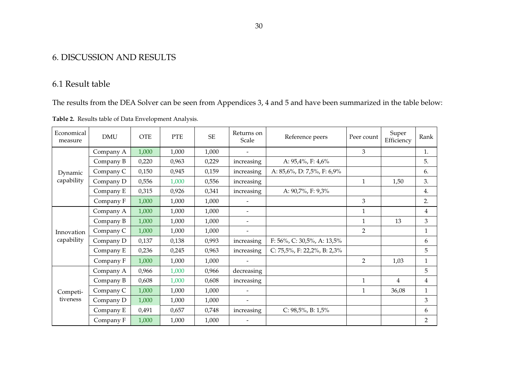# 6. DISCUSSION AND RESULTS

# 6.1 Result table

The results from the DEA Solver can be seen from Appendices 3, 4 and 5 and have been summarized in the table below:

| Table 2. Results table of Data Envelopment Analysis. |  |
|------------------------------------------------------|--|
|                                                      |  |

| Economical<br>measure | <b>DMU</b> | <b>OTE</b> | <b>PTE</b> | <b>SE</b> | Returns on<br>Scale      | Reference peers                       | Peer count     | Super<br>Efficiency | Rank           |
|-----------------------|------------|------------|------------|-----------|--------------------------|---------------------------------------|----------------|---------------------|----------------|
| Dynamic<br>capability | Company A  | 1,000      | 1,000      | 1,000     |                          |                                       | 3              |                     | 1.             |
|                       | Company B  | 0,220      | 0,963      | 0,229     | increasing               | A: 95,4%, F: 4,6%                     |                |                     | 5.             |
|                       | Company C  | 0,150      | 0,945      | 0,159     | increasing               | A: 85,6%, D: 7,5%, F: 6,9%            |                |                     | 6.             |
|                       | Company D  | 0,556      | 1,000      | 0,556     | increasing               |                                       | $\mathbf{1}$   | 1,50                | 3.             |
|                       | Company E  | 0,315      | 0,926      | 0,341     | increasing               | A: 90,7%, F: 9,3%                     |                |                     | 4.             |
|                       | Company F  | 1,000      | 1,000      | 1,000     |                          |                                       | 3              |                     | 2.             |
| Innovation            | Company A  | 1,000      | 1,000      | 1,000     | $\overline{\phantom{0}}$ |                                       | $\mathbf{1}$   |                     | 4              |
|                       | Company B  | 1,000      | 1,000      | 1,000     | $\overline{\phantom{0}}$ |                                       | $\mathbf{1}$   | 13                  | 3              |
|                       | Company C  | 1,000      | 1,000      | 1,000     |                          |                                       | $\overline{2}$ |                     | $\mathbf{1}$   |
| capability            | Company D  | 0,137      | 0,138      | 0,993     | increasing               | F: $56\%$ , C: $30,5\%$ , A: $13,5\%$ |                |                     | 6              |
|                       | Company E  | 0,236      | 0,245      | 0,963     | increasing               | C: $75,5\%$ , F: 22,2%, B: 2,3%       |                |                     | 5              |
|                       | Company F  | 1,000      | 1,000      | 1,000     |                          |                                       | $\overline{2}$ | 1,03                | $\mathbf{1}$   |
|                       | Company A  | 0,966      | 1,000      | 0,966     | decreasing               |                                       |                |                     | 5              |
| Competi-<br>tiveness  | Company B  | 0,608      | 1,000      | 0,608     | increasing               |                                       | $\mathbf{1}$   | $\overline{4}$      | 4              |
|                       | Company C  | 1,000      | 1,000      | 1,000     | -                        |                                       | $\mathbf{1}$   | 36,08               | $\mathbf{1}$   |
|                       | Company D  | 1,000      | 1,000      | 1,000     | $\overline{\phantom{a}}$ |                                       |                |                     | 3              |
|                       | Company E  | 0,491      | 0,657      | 0,748     | increasing               | C: $98,5\%$ , B: $1,5\%$              |                |                     | 6              |
|                       | Company F  | 1,000      | 1,000      | 1,000     |                          |                                       |                |                     | $\overline{2}$ |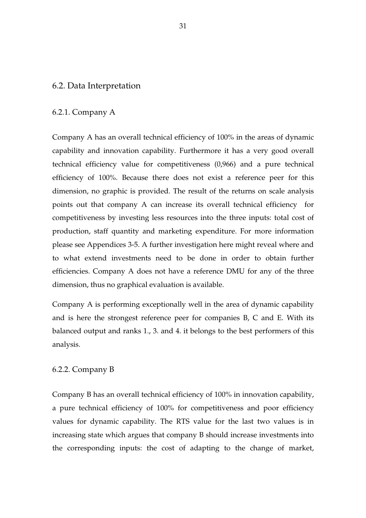#### 6.2. Data Interpretation

#### 6.2.1. Company A

Company A has an overall technical efficiency of 100% in the areas of dynamic capability and innovation capability. Furthermore it has a very good overall technical efficiency value for competitiveness (0,966) and a pure technical efficiency of 100%. Because there does not exist a reference peer for this dimension, no graphic is provided. The result of the returns on scale analysis points out that company A can increase its overall technical efficiency for competitiveness by investing less resources into the three inputs: total cost of production, staff quantity and marketing expenditure. For more information please see Appendices 3-5. A further investigation here might reveal where and to what extend investments need to be done in order to obtain further efficiencies. Company A does not have a reference DMU for any of the three dimension, thus no graphical evaluation is available.

Company A is performing exceptionally well in the area of dynamic capability and is here the strongest reference peer for companies B, C and E. With its balanced output and ranks 1., 3. and 4. it belongs to the best performers of this analysis.

#### 6.2.2. Company B

Company B has an overall technical efficiency of 100% in innovation capability, a pure technical efficiency of 100% for competitiveness and poor efficiency values for dynamic capability. The RTS value for the last two values is in increasing state which argues that company B should increase investments into the corresponding inputs: the cost of adapting to the change of market,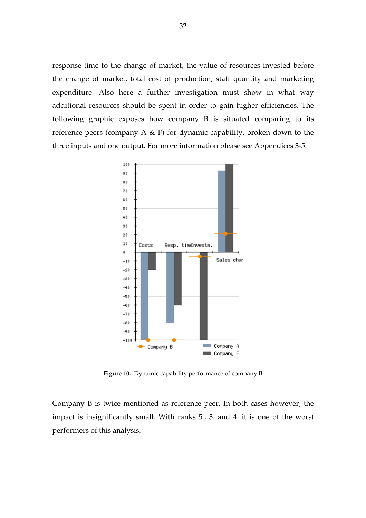response time to the change of market, the value of resources invested before the change of market, total cost of production, staff quantity and marketing expenditure. Also here a further investigation must show in what way additional resources should be spent in order to gain higher efficiencies. The following graphic exposes how company B is situated comparing to its reference peers (company A & F) for dynamic capability, broken down to the three inputs and one output. For more information please see Appendices 3-5.



**Figure 10.** Dynamic capability performance of company B

Company B is twice mentioned as reference peer. In both cases however, the impact is insignificantly small. With ranks 5., 3. and 4. it is one of the worst performers of this analysis.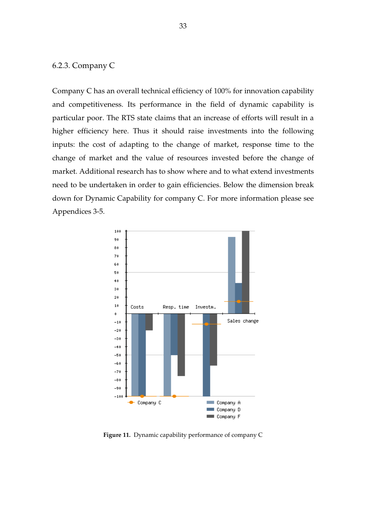# 6.2.3. Company C

Company C has an overall technical efficiency of 100% for innovation capability and competitiveness. Its performance in the field of dynamic capability is particular poor. The RTS state claims that an increase of efforts will result in a higher efficiency here. Thus it should raise investments into the following inputs: the cost of adapting to the change of market, response time to the change of market and the value of resources invested before the change of market. Additional research has to show where and to what extend investments need to be undertaken in order to gain efficiencies. Below the dimension break down for Dynamic Capability for company C. For more information please see Appendices 3-5.



**Figure 11.** Dynamic capability performance of company C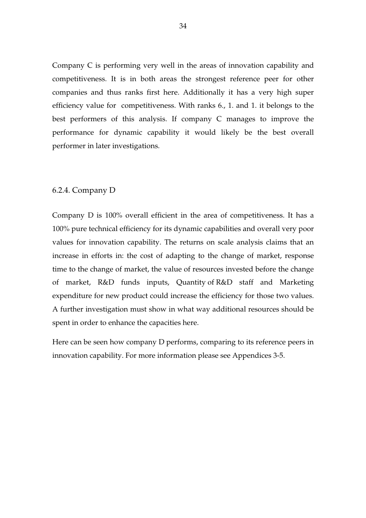Company C is performing very well in the areas of innovation capability and competitiveness. It is in both areas the strongest reference peer for other companies and thus ranks first here. Additionally it has a very high super efficiency value for competitiveness. With ranks 6., 1. and 1. it belongs to the best performers of this analysis. If company C manages to improve the performance for dynamic capability it would likely be the best overall performer in later investigations.

#### 6.2.4. Company D

Company D is 100% overall efficient in the area of competitiveness. It has a 100% pure technical efficiency for its dynamic capabilities and overall very poor values for innovation capability. The returns on scale analysis claims that an increase in efforts in: the cost of adapting to the change of market, response time to the change of market, the value of resources invested before the change of market, R&D funds inputs, Quantity of R&D staff and Marketing expenditure for new product could increase the efficiency for those two values. A further investigation must show in what way additional resources should be spent in order to enhance the capacities here.

Here can be seen how company D performs, comparing to its reference peers in innovation capability. For more information please see Appendices 3-5.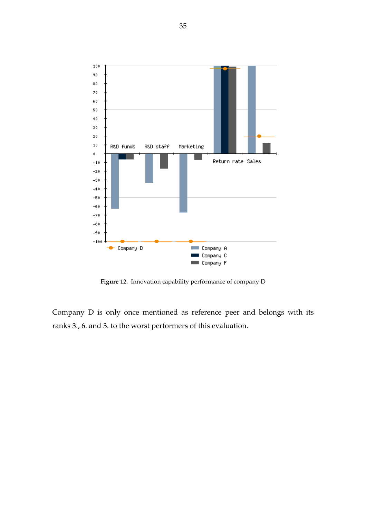

**Figure 12.** Innovation capability performance of company D

Company D is only once mentioned as reference peer and belongs with its ranks 3., 6. and 3. to the worst performers of this evaluation.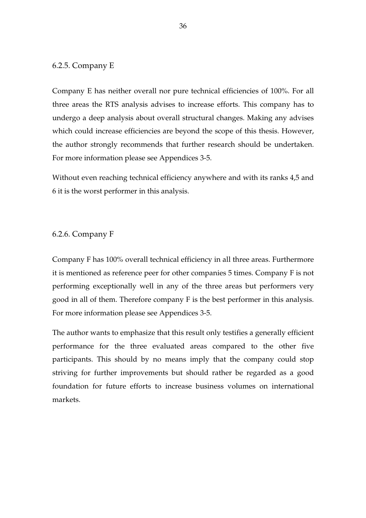#### 6.2.5. Company E

Company E has neither overall nor pure technical efficiencies of 100%. For all three areas the RTS analysis advises to increase efforts. This company has to undergo a deep analysis about overall structural changes. Making any advises which could increase efficiencies are beyond the scope of this thesis. However, the author strongly recommends that further research should be undertaken. For more information please see Appendices 3-5.

Without even reaching technical efficiency anywhere and with its ranks 4,5 and 6 it is the worst performer in this analysis.

#### 6.2.6. Company F

Company F has 100% overall technical efficiency in all three areas. Furthermore it is mentioned as reference peer for other companies 5 times. Company F is not performing exceptionally well in any of the three areas but performers very good in all of them. Therefore company F is the best performer in this analysis. For more information please see Appendices 3-5.

The author wants to emphasize that this result only testifies a generally efficient performance for the three evaluated areas compared to the other five participants. This should by no means imply that the company could stop striving for further improvements but should rather be regarded as a good foundation for future efforts to increase business volumes on international markets.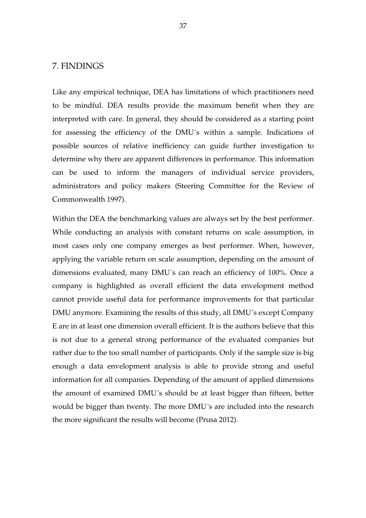#### 7. FINDINGS

Like any empirical technique, DEA has limitations of which practitioners need to be mindful. DEA results provide the maximum benefit when they are interpreted with care. In general, they should be considered as a starting point for assessing the efficiency of the DMU´s within a sample. Indications of possible sources of relative inefficiency can guide further investigation to determine why there are apparent differences in performance. This information can be used to inform the managers of individual service providers, administrators and policy makers (Steering Committee for the Review of Commonwealth 1997).

Within the DEA the benchmarking values are always set by the best performer. While conducting an analysis with constant returns on scale assumption, in most cases only one company emerges as best performer. When, however, applying the variable return on scale assumption, depending on the amount of dimensions evaluated, many DMU´s can reach an efficiency of 100%. Once a company is highlighted as overall efficient the data envelopment method cannot provide useful data for performance improvements for that particular DMU anymore. Examining the results of this study, all DMU´s except Company E are in at least one dimension overall efficient. It is the authors believe that this is not due to a general strong performance of the evaluated companies but rather due to the too small number of participants. Only if the sample size is big enough a data envelopment analysis is able to provide strong and useful information for all companies. Depending of the amount of applied dimensions the amount of examined DMU´s should be at least bigger than fifteen, better would be bigger than twenty. The more DMU´s are included into the research the more significant the results will become (Prusa 2012).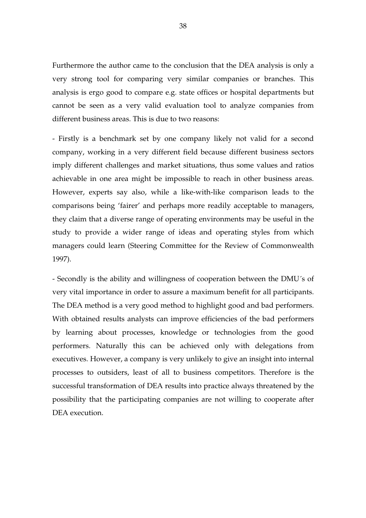Furthermore the author came to the conclusion that the DEA analysis is only a very strong tool for comparing very similar companies or branches. This analysis is ergo good to compare e.g. state offices or hospital departments but cannot be seen as a very valid evaluation tool to analyze companies from different business areas. This is due to two reasons:

- Firstly is a benchmark set by one company likely not valid for a second company, working in a very different field because different business sectors imply different challenges and market situations, thus some values and ratios achievable in one area might be impossible to reach in other business areas. However, experts say also, while a like-with-like comparison leads to the comparisons being 'fairer' and perhaps more readily acceptable to managers, they claim that a diverse range of operating environments may be useful in the study to provide a wider range of ideas and operating styles from which managers could learn (Steering Committee for the Review of Commonwealth 1997).

- Secondly is the ability and willingness of cooperation between the DMU´s of very vital importance in order to assure a maximum benefit for all participants. The DEA method is a very good method to highlight good and bad performers. With obtained results analysts can improve efficiencies of the bad performers by learning about processes, knowledge or technologies from the good performers. Naturally this can be achieved only with delegations from executives. However, a company is very unlikely to give an insight into internal processes to outsiders, least of all to business competitors. Therefore is the successful transformation of DEA results into practice always threatened by the possibility that the participating companies are not willing to cooperate after DEA execution.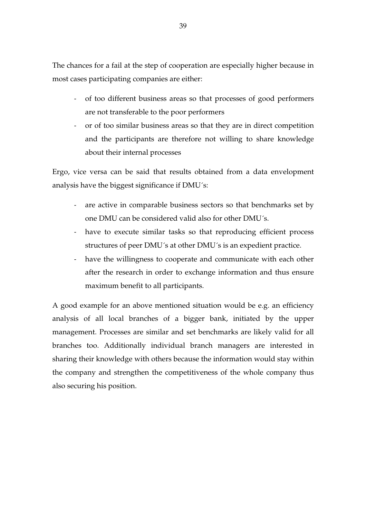The chances for a fail at the step of cooperation are especially higher because in most cases participating companies are either:

- of too different business areas so that processes of good performers are not transferable to the poor performers
- or of too similar business areas so that they are in direct competition and the participants are therefore not willing to share knowledge about their internal processes

Ergo, vice versa can be said that results obtained from a data envelopment analysis have the biggest significance if DMU´s:

- are active in comparable business sectors so that benchmarks set by one DMU can be considered valid also for other DMU´s.
- have to execute similar tasks so that reproducing efficient process structures of peer DMU´s at other DMU´s is an expedient practice.
- have the willingness to cooperate and communicate with each other after the research in order to exchange information and thus ensure maximum benefit to all participants.

A good example for an above mentioned situation would be e.g. an efficiency analysis of all local branches of a bigger bank, initiated by the upper management. Processes are similar and set benchmarks are likely valid for all branches too. Additionally individual branch managers are interested in sharing their knowledge with others because the information would stay within the company and strengthen the competitiveness of the whole company thus also securing his position.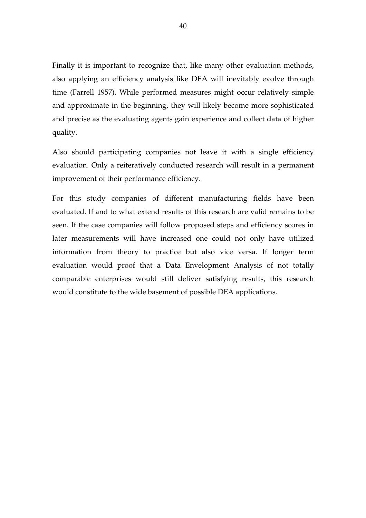Finally it is important to recognize that, like many other evaluation methods, also applying an efficiency analysis like DEA will inevitably evolve through time (Farrell 1957). While performed measures might occur relatively simple and approximate in the beginning, they will likely become more sophisticated and precise as the evaluating agents gain experience and collect data of higher quality.

Also should participating companies not leave it with a single efficiency evaluation. Only a reiteratively conducted research will result in a permanent improvement of their performance efficiency.

For this study companies of different manufacturing fields have been evaluated. If and to what extend results of this research are valid remains to be seen. If the case companies will follow proposed steps and efficiency scores in later measurements will have increased one could not only have utilized information from theory to practice but also vice versa. If longer term evaluation would proof that a Data Envelopment Analysis of not totally comparable enterprises would still deliver satisfying results, this research would constitute to the wide basement of possible DEA applications.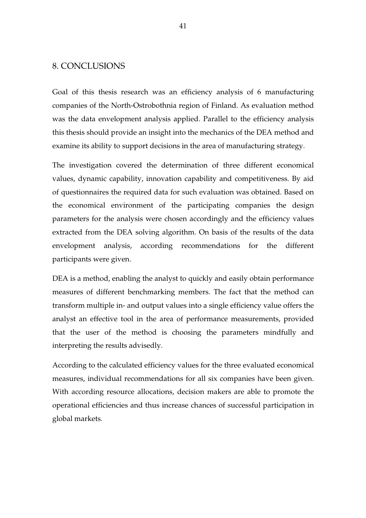#### 8. CONCLUSIONS

Goal of this thesis research was an efficiency analysis of 6 manufacturing companies of the North-Ostrobothnia region of Finland. As evaluation method was the data envelopment analysis applied. Parallel to the efficiency analysis this thesis should provide an insight into the mechanics of the DEA method and examine its ability to support decisions in the area of manufacturing strategy.

The investigation covered the determination of three different economical values, dynamic capability, innovation capability and competitiveness. By aid of questionnaires the required data for such evaluation was obtained. Based on the economical environment of the participating companies the design parameters for the analysis were chosen accordingly and the efficiency values extracted from the DEA solving algorithm. On basis of the results of the data envelopment analysis, according recommendations for the different participants were given.

DEA is a method, enabling the analyst to quickly and easily obtain performance measures of different benchmarking members. The fact that the method can transform multiple in- and output values into a single efficiency value offers the analyst an effective tool in the area of performance measurements, provided that the user of the method is choosing the parameters mindfully and interpreting the results advisedly.

According to the calculated efficiency values for the three evaluated economical measures, individual recommendations for all six companies have been given. With according resource allocations, decision makers are able to promote the operational efficiencies and thus increase chances of successful participation in global markets.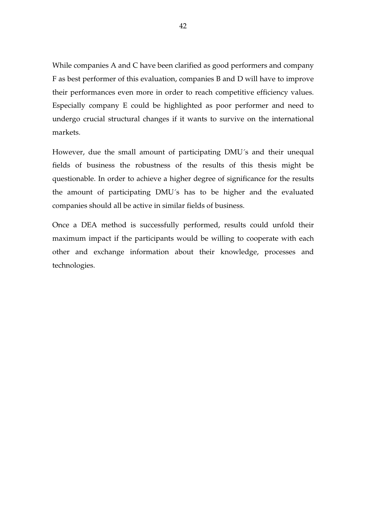While companies A and C have been clarified as good performers and company F as best performer of this evaluation, companies B and D will have to improve their performances even more in order to reach competitive efficiency values. Especially company E could be highlighted as poor performer and need to undergo crucial structural changes if it wants to survive on the international markets.

However, due the small amount of participating DMU´s and their unequal fields of business the robustness of the results of this thesis might be questionable. In order to achieve a higher degree of significance for the results the amount of participating DMU´s has to be higher and the evaluated companies should all be active in similar fields of business.

Once a DEA method is successfully performed, results could unfold their maximum impact if the participants would be willing to cooperate with each other and exchange information about their knowledge, processes and technologies.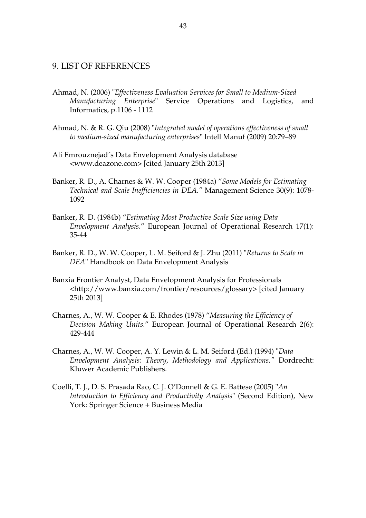#### 9. LIST OF REFERENCES

- Ahmad, N. (2006) "*Effectiveness Evaluation Services for Small to Medium-Sized Manufacturing Enterprise*" Service Operations and Logistics, and Informatics, p.1106 - 1112
- Ahmad, N. & R. G. Qiu (2008) "*Integrated model of operations effectiveness of small to medium-sized manufacturing enterprises*" Intell Manuf (2009) 20:79–89
- Ali Emrouznejad´s Data Envelopment Analysis database <www.deazone.com> [cited January 25th 2013]
- Banker, R. D., A. Charnes & W. W. Cooper (1984a) "*Some Models for Estimating Technical and Scale Inefficiencies in DEA."* Management Science 30(9): 1078- 1092
- Banker, R. D. (1984b) "*Estimating Most Productive Scale Size using Data Envelopment Analysis.*" European Journal of Operational Research 17(1): 35-44
- Banker, R. D., W. W. Cooper, L. M. Seiford & J. Zhu (2011) "*Returns to Scale in DEA*" Handbook on Data Envelopment Analysis
- Banxia Frontier Analyst, Data Envelopment Analysis for Professionals <http://www.banxia.com/frontier/resources/glossary> [cited January 25th 2013]
- Charnes, A., W. W. Cooper & E. Rhodes (1978) "*Measuring the Efficiency of Decision Making Units.*" European Journal of Operational Research 2(6): 429-444
- Charnes, A., W. W. Cooper, A. Y. Lewin & L. M. Seiford (Ed.) (1994) "*Data Envelopment Analysis: Theory, Methodology and Applications."* Dordrecht: Kluwer Academic Publishers.
- Coelli, T. J., D. S. Prasada Rao, C. J. O'Donnell & G. E. Battese (2005) "*An Introduction to Efficiency and Productivity Analysis*" (Second Edition), New York: Springer Science + Business Media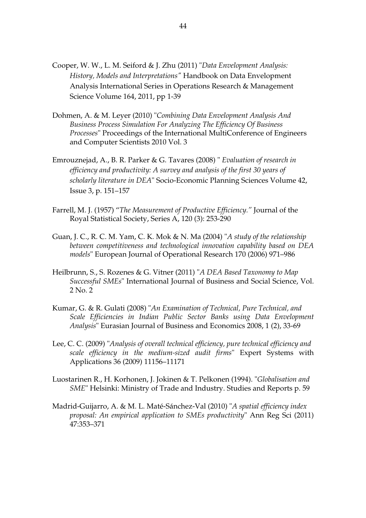- Cooper, W. W., L. M. Seiford & J. Zhu (2011) "*Data Envelopment Analysis: History, Models and Interpretations"* Handbook on Data Envelopment Analysis International Series in Operations Research & Management Science Volume 164, 2011, pp 1-39
- Dohmen, A. & M. Leyer (2010) "*Combining Data Envelopment Analysis And Business Process Simulation For Analyzing The Efficiency Of Business Processes*" Proceedings of the International MultiConference of Engineers and Computer Scientists 2010 Vol. 3
- Emrouznejad, A., B. R. Parker & G. Tavares (2008) " *Evaluation of research in efficiency and productivity: A survey and analysis of the first 30 years of scholarly literature in DEA*" Socio-Economic Planning Sciences Volume 42, Issue 3, p. 151–157
- Farrell, M. J. (1957) "*The Measurement of Productive Efficiency."* Journal of the Royal Statistical Society, Series A, 120 (3): 253-290
- Guan, J. C., R. C. M. Yam, C. K. Mok & N. Ma (2004) "*A study of the relationship between competitiveness and technological innovation capability based on DEA models*" European Journal of Operational Research 170 (2006) 971–986
- Heilbrunn, S., S. Rozenes & G. Vitner (2011) "*A DEA Based Taxonomy to Map Successful SMEs*" International Journal of Business and Social Science, Vol. 2 No. 2
- Kumar, G. & R. Gulati (2008) "*An Examination of Technical, Pure Technical, and Scale Efficiencies in Indian Public Sector Banks using Data Envelopment Analysis*" Eurasian Journal of Business and Economics 2008, 1 (2), 33-69
- Lee, C. C. (2009) "*Analysis of overall technical efficiency, pure technical efficiency and scale efficiency in the medium-sized audit firms*" Expert Systems with Applications 36 (2009) 11156–11171
- Luostarinen R., H. Korhonen, J. Jokinen & T. Pelkonen (1994). "*Globalisation and SME*" Helsinki: Ministry of Trade and Industry. Studies and Reports p. 59
- Madrid-Guijarro, A. & M. L. Maté-Sánchez-Val (2010) "*A spatial efficiency index proposal: An empirical application to SMEs productivity*" Ann Reg Sci (2011) 47:353–371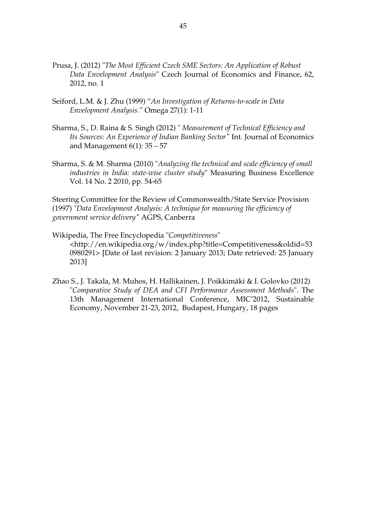- Prusa, J. (2012) "*The Most Efficient Czech SME Sectors: An Application of Robust Data Envelopment Analysis*" Czech Journal of Economics and Finance, 62, 2012, no. 1
- Seiford, L.M. & J. Zhu (1999) "*An Investigation of Returns-to-scale in Data Envelopment Analysis."* Omega 27(1): 1-11
- Sharma, S., D. Raina & S. Singh (2012) " *Measurement of Technical Efficiency and Its Sources: An Experience of Indian Banking Sector"* Int. Journal of Economics and Management  $6(1)$ : 35 – 57
- Sharma, S. & M. Sharma (2010) "*Analyzing the technical and scale efficiency of small industries in India: state-wise cluster study*" Measuring Business Excellence Vol. 14 No. 2 2010, pp. 54-65

Steering Committee for the Review of Commonwealth/State Service Provision (1997) "*Data Envelopment Analysis: A technique for measuring the efficiency of government service delivery"* AGPS, Canberra

- Wikipedia, The Free Encyclopedia "*Competitiveness*" <http://en.wikipedia.org/w/index.php?title=Competitiveness&oldid=53 0980291> [Date of last revision: 2 January 2013; Date retrieved: 25 January 2013]
- Zhao S., J. Takala, M. Muhos, H. Hallikainen, J. Poikkimäki & I. Golovko (2012) "*Comparative Study of DEA and CFI Performance Assessment Methods*". The 13th Management International Conference, MIC'2012, Sustainable Economy, November 21-23, 2012, Budapest, Hungary, 18 pages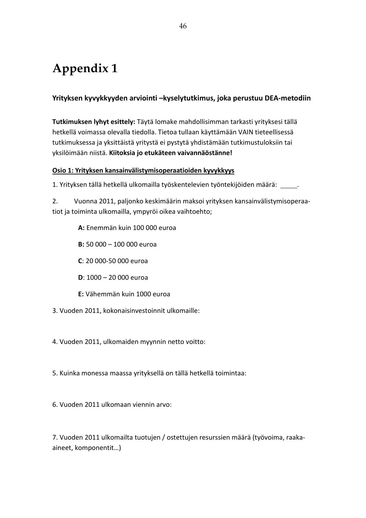# **Appendix 1**

### **Yrityksen kyvykkyyden arviointi –kyselytutkimus, joka perustuu DEA-metodiin**

**Tutkimuksen lyhyt esittely:** Täytä lomake mahdollisimman tarkasti yrityksesi tällä hetkellä voimassa olevalla tiedolla. Tietoa tullaan käyttämään VAIN tieteellisessä tutkimuksessa ja yksittäistä yritystä ei pystytä yhdistämään tutkimustuloksiin tai yksilöimään niistä. **Kiitoksia jo etukäteen vaivannäöstänne!**

#### **Osio 1: Yrityksen kansainvälistymisoperaatioiden kyvykkyys**

1. Yrityksen tällä hetkellä ulkomailla työskentelevien työntekijöiden määrä: .

2. Vuonna 2011, paljonko keskimäärin maksoi yrityksen kansainvälistymisoperaatiot ja toiminta ulkomailla, ympyröi oikea vaihtoehto;

**A:** Enemmän kuin 100 000 euroa

**B:** 50 000 – 100 000 euroa

**C**: 20 000-50 000 euroa

**D**: 1000 – 20 000 euroa

**E:** Vähemmän kuin 1000 euroa

3. Vuoden 2011, kokonaisinvestoinnit ulkomaille:

4. Vuoden 2011, ulkomaiden myynnin netto voitto:

5. Kuinka monessa maassa yrityksellä on tällä hetkellä toimintaa:

6. Vuoden 2011 ulkomaan viennin arvo:

7. Vuoden 2011 ulkomailta tuotujen / ostettujen resurssien määrä (työvoima, raakaaineet, komponentit…)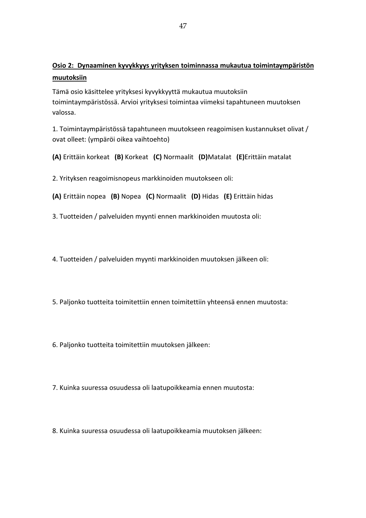### **Osio 2: Dynaaminen kyvykkyys yrityksen toiminnassa mukautua toimintaympäristön muutoksiin**

Tämä osio käsittelee yrityksesi kyvykkyyttä mukautua muutoksiin toimintaympäristössä. Arvioi yrityksesi toimintaa viimeksi tapahtuneen muutoksen valossa.

1. Toimintaympäristössä tapahtuneen muutokseen reagoimisen kustannukset olivat / ovat olleet: (ympäröi oikea vaihtoehto)

**(A)** Erittäin korkeat **(B)** Korkeat **(C)** Normaalit **(D)**Matalat **(E)**Erittäin matalat

2. Yrityksen reagoimisnopeus markkinoiden muutokseen oli:

**(A)** Erittäin nopea **(B)** Nopea **(C)** Normaalit **(D)** Hidas **(E)** Erittäin hidas

3. Tuotteiden / palveluiden myynti ennen markkinoiden muutosta oli:

4. Tuotteiden / palveluiden myynti markkinoiden muutoksen jälkeen oli:

5. Paljonko tuotteita toimitettiin ennen toimitettiin yhteensä ennen muutosta:

6. Paljonko tuotteita toimitettiin muutoksen jälkeen:

7. Kuinka suuressa osuudessa oli laatupoikkeamia ennen muutosta:

8. Kuinka suuressa osuudessa oli laatupoikkeamia muutoksen jälkeen: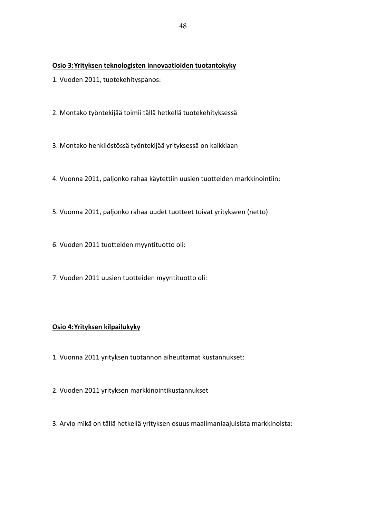#### **Osio 3: Yrityksen teknologisten innovaatioiden tuotantokyky**

- 1. Vuoden 2011, tuotekehityspanos:
- 2. Montako työntekijää toimii tällä hetkellä tuotekehityksessä
- 3. Montako henkilöstössä työntekijää yrityksessä on kaikkiaan
- 4. Vuonna 2011, paljonko rahaa käytettiin uusien tuotteiden markkinointiin:
- 5. Vuonna 2011, paljonko rahaa uudet tuotteet toivat yritykseen (netto)
- 6. Vuoden 2011 tuotteiden myyntituotto oli:
- 7. Vuoden 2011 uusien tuotteiden myyntituotto oli:

#### **Osio 4: Yrityksen kilpailukyky**

- 1. Vuonna 2011 yrityksen tuotannon aiheuttamat kustannukset:
- 2. Vuoden 2011 yrityksen markkinointikustannukset
- 3. Arvio mikä on tällä hetkellä yrityksen osuus maailmanlaajuisista markkinoista: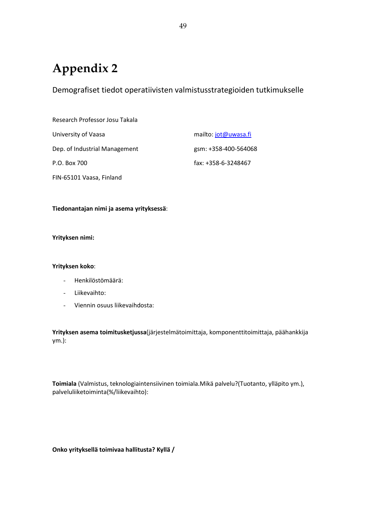# **Appendix 2**

Demografiset tiedot operatiivisten valmistusstrategioiden tutkimukselle

| Research Professor Josu Takala |                      |
|--------------------------------|----------------------|
| University of Vaasa            | mailto: jot@uwasa.fi |
| Dep. of Industrial Management  | gsm: +358-400-564068 |
| P.O. Box 700                   | fax: +358-6-3248467  |
| FIN-65101 Vaasa, Finland       |                      |

#### **Tiedonantajan nimi ja asema yrityksessä**:

#### **Yrityksen nimi:**

#### **Yrityksen koko**:

- Henkilöstömäärä:
- Liikevaihto:
- Viennin osuus liikevaihdosta:

**Yrityksen asema toimitusketjussa**(järjestelmätoimittaja, komponenttitoimittaja, päähankkija ym.):

**Toimiala** (Valmistus, teknologiaintensiivinen toimiala.Mikä palvelu?(Tuotanto, ylläpito ym.), palveluliiketoiminta(%/liikevaihto):

**Onko yrityksellä toimivaa hallitusta? Kyllä /**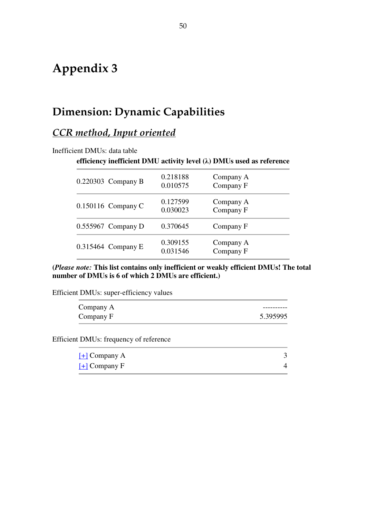# **Appendix 3**

# **Dimension: Dynamic Capabilities**

# *CCR method, Input oriented*

| Inefficient DMUs: data table |  |
|------------------------------|--|
|------------------------------|--|

#### **efficiency inefficient DMU activity level (λ) DMUs used as reference**

| 0.220303 Company B   | 0.218188<br>0.010575 | Company A<br>Company F |
|----------------------|----------------------|------------------------|
| $0.150116$ Company C | 0.127599<br>0.030023 | Company A<br>Company F |
| $0.555967$ Company D | 0.370645             | Company F              |
| $0.315464$ Company E | 0.309155<br>0.031546 | Company A<br>Company F |

**(***Please note:* **This list contains only inefficient or weakly efficient DMUs! The total number of DMUs is 6 of which 2 DMUs are efficient.)**

Efficient DMUs: super-efficiency values

| Company A |          |
|-----------|----------|
| Company F | 5.395995 |

Efficient DMUs: frequency of reference

| $H$ Company A |  |
|---------------|--|
| $H$ Company F |  |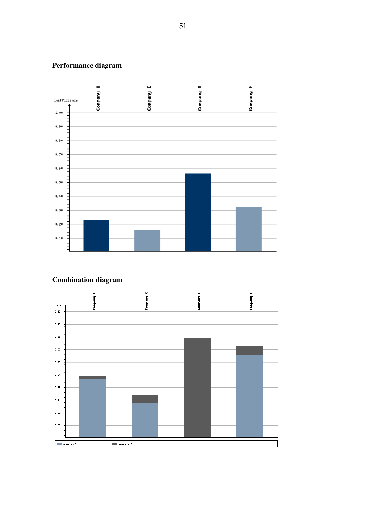## **Performance diagram**



### **Combination diagram**

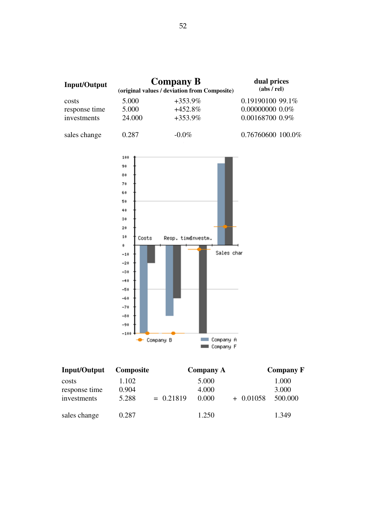

| Input/Output  | <b>Composite</b> |             | <b>Company A</b> |             | <b>Company F</b> |
|---------------|------------------|-------------|------------------|-------------|------------------|
| costs         | 1.102            |             | 5.000            |             | 1.000            |
| response time | 0.904            |             | 4.000            |             | 3.000            |
| investments   | 5.288            | $= 0.21819$ | 0.000            | $+$ 0.01058 | 500.000          |
| sales change  | 0.287            |             | 1.250            |             | 1.349            |

Company A

Company F

 $-80$  $-90$  $-100$ 

Company B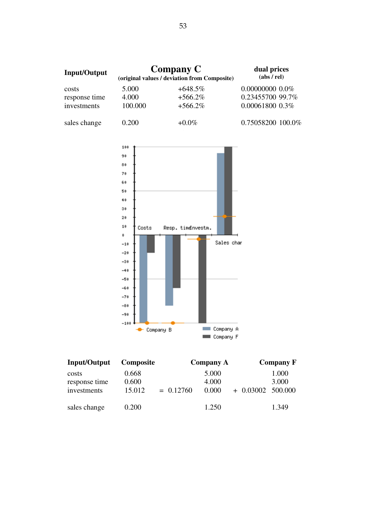| <b>Input/Output</b> | <b>Company C</b><br>(original values / deviation from Composite) |            | dual prices<br>(abs / rel) |
|---------------------|------------------------------------------------------------------|------------|----------------------------|
| costs               | 5.000                                                            | $+648.5\%$ | $0.000000000000\%$         |
| response time       | 4.000                                                            | $+566.2\%$ | 0.23455700 99.7%           |
| investments         | 100.000                                                          | $+566.2\%$ | $0.00061800$ $0.3\%$       |
| sales change        | 0.200                                                            | $+0.0\%$   | 0.75058200 100.0%          |



| Input/Output  | <b>Composite</b> |             | <b>Company A</b> |                     | <b>Company F</b> |
|---------------|------------------|-------------|------------------|---------------------|------------------|
| costs         | 0.668            |             | 5.000            |                     | 1.000            |
| response time | 0.600            |             | 4.000            |                     | 3.000            |
| investments   | 15.012           | $= 0.12760$ | 0.000            | $+ 0.03002 500.000$ |                  |
| sales change  | 0.200            |             | 1.250            |                     | 1.349            |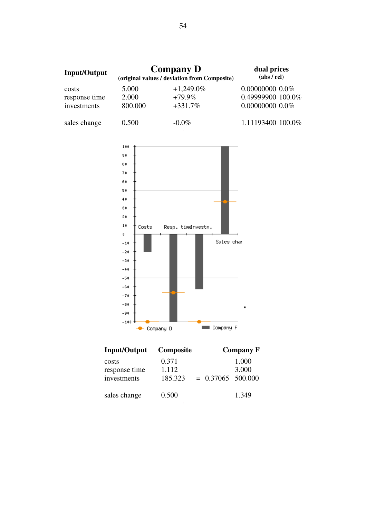| <b>Input/Output</b> | <b>Company D</b><br>(original values / deviation from Composite) |              | dual prices<br>(abs / rel) |  |
|---------------------|------------------------------------------------------------------|--------------|----------------------------|--|
| costs               | 5.000                                                            | $+1,249.0\%$ | $0.000000000000\%$         |  |
| response time       | 2.000                                                            | $+79.9\%$    | 0.49999900 100.0%          |  |
| investments         | 800.000                                                          | $+331.7%$    | $0.000000000000\%$         |  |
| sales change        | 0.500                                                            | $-0.0\%$     | 1.11193400 100.0%          |  |



| <b>Input/Output</b>                   | <b>Composite</b>          |                     | <b>Company F</b> |
|---------------------------------------|---------------------------|---------------------|------------------|
| costs<br>response time<br>investments | 0.371<br>1.112<br>185.323 | $= 0.37065$ 500.000 | 1.000<br>3.000   |
| sales change                          | 0.500                     |                     | 1.349            |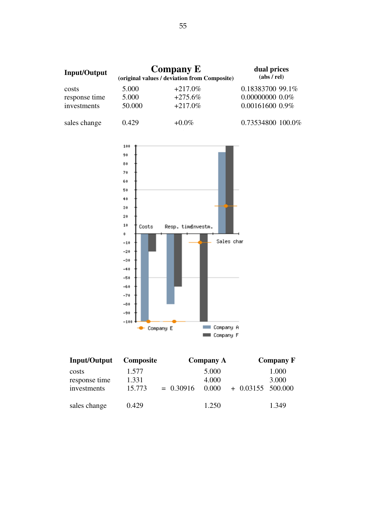

| Input/Output  | <b>Composite</b> |             | <b>Company A</b> |                     | <b>Company F</b> |
|---------------|------------------|-------------|------------------|---------------------|------------------|
| costs         | 1.577            |             | 5.000            |                     | 1.000            |
| response time | 1.331            |             | 4.000            |                     | 3.000            |
| investments   | 15.773           | $= 0.30916$ | 0.000            | $+$ 0.03155 500.000 |                  |
|               |                  |             |                  |                     |                  |
| sales change  | 0.429            |             | 1.250            |                     | 1.349            |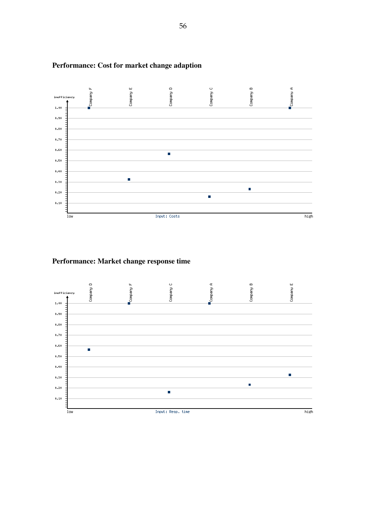

### **Performance: Cost for market change adaption**

### **Performance: Market change response time**

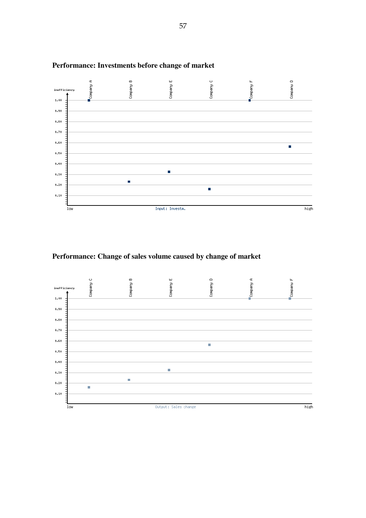

### **Performance: Investments before change of market**

**Performance: Change of sales volume caused by change of market**

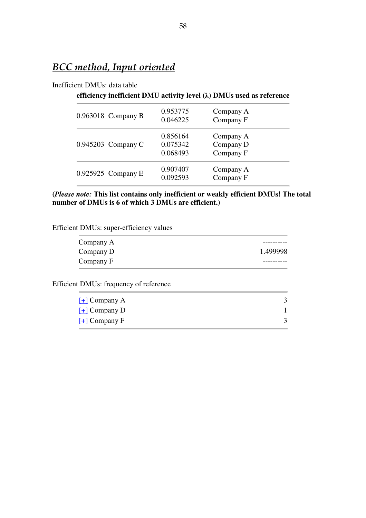# *BCC method, Input oriented*

#### Inefficient DMUs: data table

### **efficiency inefficient DMU activity level (λ) DMUs used as reference**

| 0.963018 Company B   | 0.953775<br>0.046225             | Company A<br>Company F              |
|----------------------|----------------------------------|-------------------------------------|
| $0.945203$ Company C | 0.856164<br>0.075342<br>0.068493 | Company A<br>Company D<br>Company F |
| 0.925925 Company E   | 0.907407<br>0.092593             | Company A<br>Company F              |

#### **(***Please note:* **This list contains only inefficient or weakly efficient DMUs! The total number of DMUs is 6 of which 3 DMUs are efficient.)**

Efficient DMUs: super-efficiency values

| Company A |          |
|-----------|----------|
| Company D | 1.499998 |
| Company F |          |

Efficient DMUs: frequency of reference

| $[\pm]$ Company A           |  |
|-----------------------------|--|
| $\underline{[+]}$ Company D |  |
| $[+]$ Company F             |  |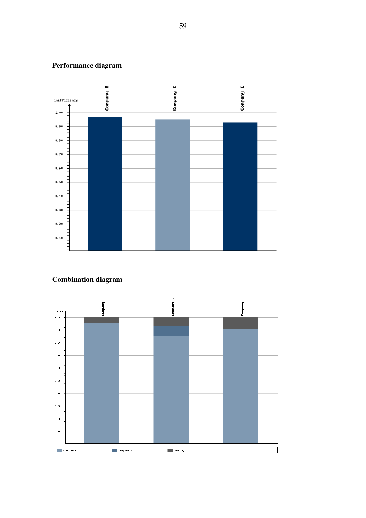## **Performance diagram**



## **Combination diagram**

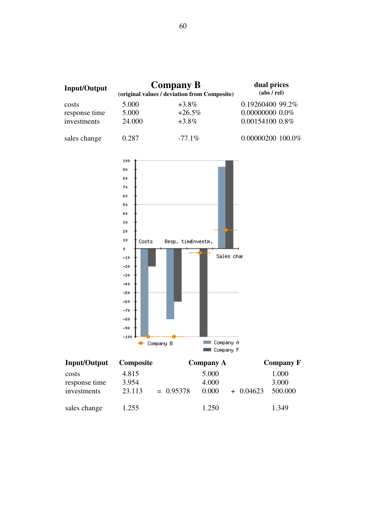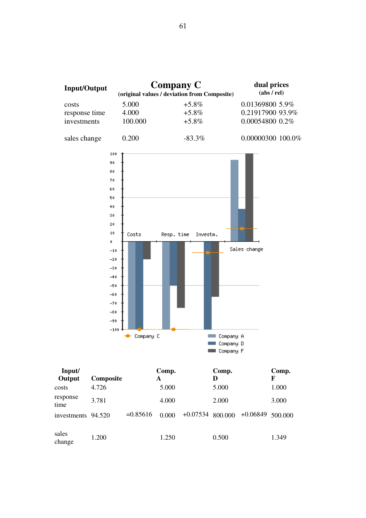

| $\mathbf{r}$       |           |             | $\ddotsc$ | $\sim$ p. |                                       | $\sim$ $\sim$ |  |
|--------------------|-----------|-------------|-----------|-----------|---------------------------------------|---------------|--|
| Output             | Composite |             | A         | D         |                                       | F             |  |
| costs              | 4.726     |             | 5.000     | 5.000     |                                       | 1.000         |  |
| response<br>time   | 3.781     |             | 4.000     | 2.000     |                                       | 3.000         |  |
| investments 94.520 |           | $= 0.85616$ | 0.000     |           | $+0.07534$ 800.000 $+0.06849$ 500.000 |               |  |
| sales<br>change    | 1.200     |             | 1.250     | 0.500     |                                       | 1.349         |  |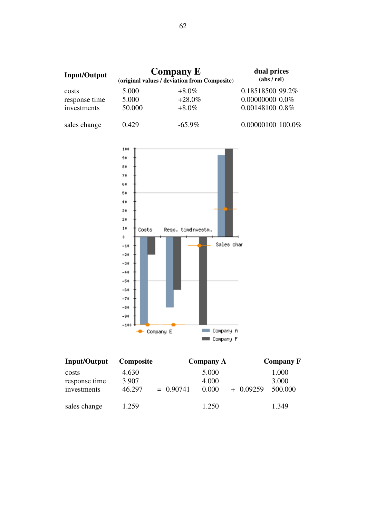| <b>Input/Output</b> | <b>Company E</b><br>(original values / deviation from Composite) | dual prices<br>(abs / rel) |                    |
|---------------------|------------------------------------------------------------------|----------------------------|--------------------|
| costs               | 5.000                                                            | $+8.0\%$                   | 0.18518500 99.2%   |
| response time       | 5.000                                                            | $+28.0\%$                  | $0.000000000000\%$ |
| investments         | 50.000                                                           | $+8.0\%$                   | 0.00148100 0.8%    |
| sales change        | 0.429                                                            | $-65.9\%$                  | 0.00000100 100.0%  |



| Input/Output                 | <b>Composite</b> |             | <b>Company A</b> |            | <b>Company F</b> |
|------------------------------|------------------|-------------|------------------|------------|------------------|
| costs                        | 4.630            |             | 5.000            |            | 1.000            |
| response time<br>investments | 3.907<br>46.297  | $= 0.90741$ | 4.000<br>0.000   | $+0.09259$ | 3.000<br>500,000 |
| sales change                 | 1.259            |             | 1.250            |            | 1.349            |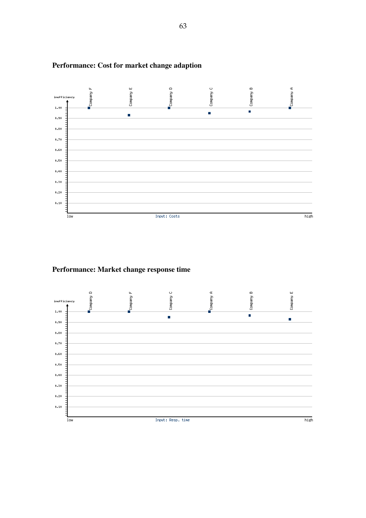

## **Performance: Cost for market change adaption**

**Performance: Market change response time**

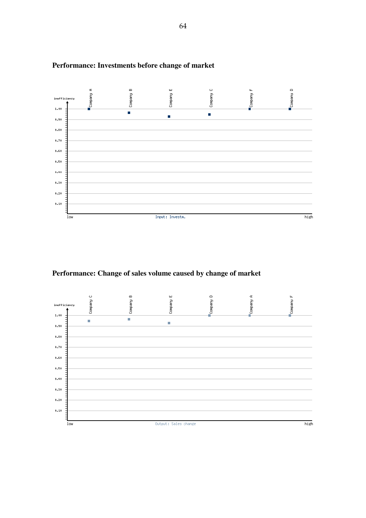

### **Performance: Investments before change of market**

**Performance: Change of sales volume caused by change of market**

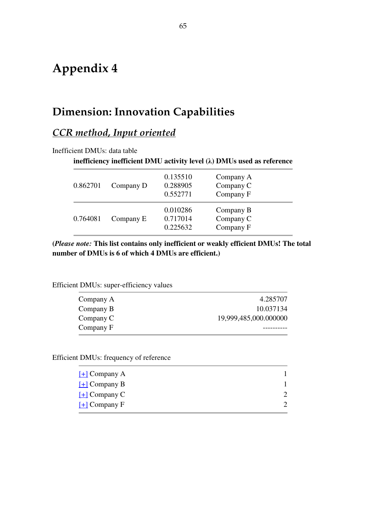# **Appendix 4**

# **Dimension: Innovation Capabilities**

# *CCR method, Input oriented*

Inefficient DMUs: data table

### **inefficiency inefficient DMU activity level (λ) DMUs used as reference**

| 0.862701 | Company D | 0.135510<br>0.288905<br>0.552771 | Company A<br>Company C<br>Company F |
|----------|-----------|----------------------------------|-------------------------------------|
| 0.764081 | Company E | 0.010286<br>0.717014<br>0.225632 | Company B<br>Company C<br>Company F |

**(***Please note:* **This list contains only inefficient or weakly efficient DMUs! The total number of DMUs is 6 of which 4 DMUs are efficient.)**

|  | Efficient DMUs: super-efficiency values |
|--|-----------------------------------------|
|--|-----------------------------------------|

| Company A | 4.285707              |
|-----------|-----------------------|
| Company B | 10.037134             |
| Company C | 19,999,485,000.000000 |
| Company F |                       |

Efficient DMUs: frequency of reference

| $[\pm]$ Company A                      |  |
|----------------------------------------|--|
| $\left[ \frac{1}{2} \right]$ Company B |  |
| $\left[ \frac{1}{2} \right]$ Company C |  |
| $\left[ \frac{1}{2} \right]$ Company F |  |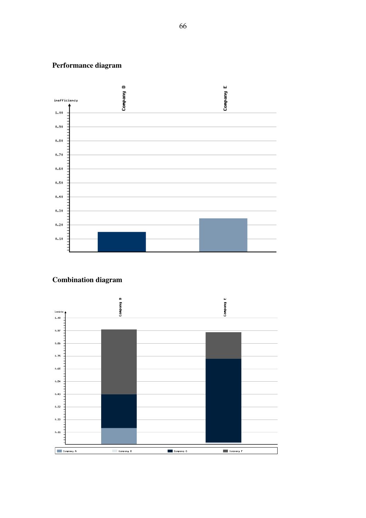## **Performance diagram**



### **Combination diagram**

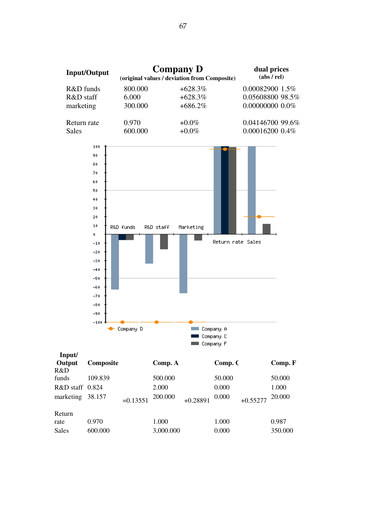

| Composite       |            | Comp. A   |            |        |            | Comp. F |
|-----------------|------------|-----------|------------|--------|------------|---------|
|                 |            |           |            |        |            |         |
| 109.839         |            | 500.000   |            | 50.000 |            | 50.000  |
| R&D staff 0.824 |            | 2.000     |            | 0.000  |            | 1.000   |
| 38.157          | $=0.13551$ | 200.000   | $+0.28891$ | 0.000  | $+0.55277$ | 20.000  |
|                 |            |           |            |        |            |         |
| 0.970           |            | 1.000     |            | 1.000  |            | 0.987   |
| 600.000         |            | 3,000.000 |            | 0.000  |            | 350.000 |
|                 |            |           |            |        |            | Comp. C |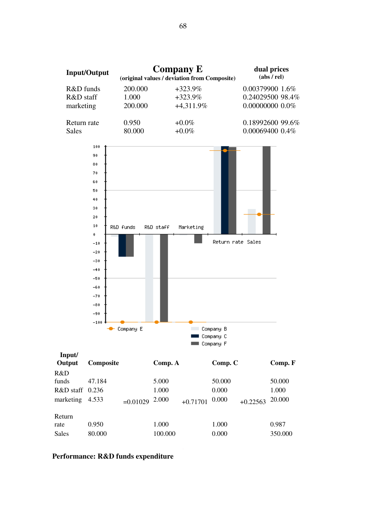

| Output          | Composite |            | Comp. A |            | Comp. C |            | Comp. F |
|-----------------|-----------|------------|---------|------------|---------|------------|---------|
| R&D             |           |            |         |            |         |            |         |
| funds           | 47.184    |            | 5.000   |            | 50.000  |            | 50.000  |
| R&D staff 0.236 |           |            | 1.000   |            | 0.000   |            | 1.000   |
| marketing       | 4.533     | $=0.01029$ | 2.000   | $+0.71701$ | 0.000   | $+0.22563$ | 20.000  |
| Return          |           |            |         |            |         |            |         |
| rate            | 0.950     |            | 1.000   |            | 1.000   |            | 0.987   |
| <b>Sales</b>    | 80.000    |            | 100.000 |            | 0.000   |            | 350.000 |

#### **Performance: R&D funds expenditure**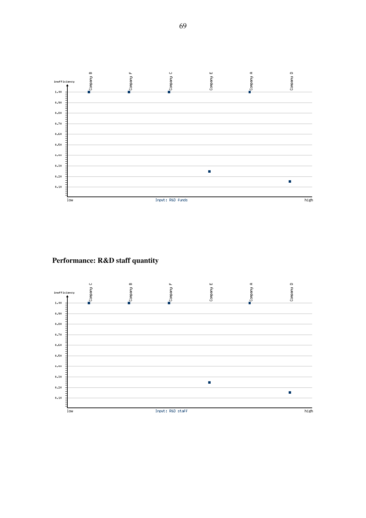

**Performance: R&D staff quantity**

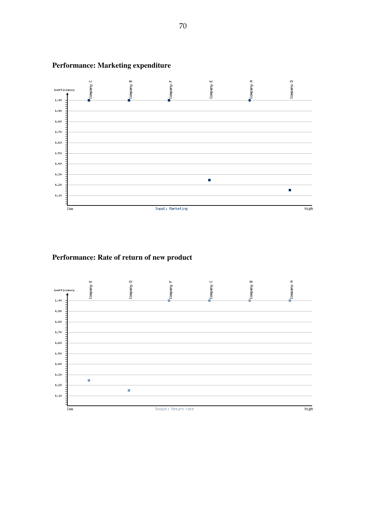

## **Performance: Marketing expenditure**

## **Performance: Rate of return of new product**

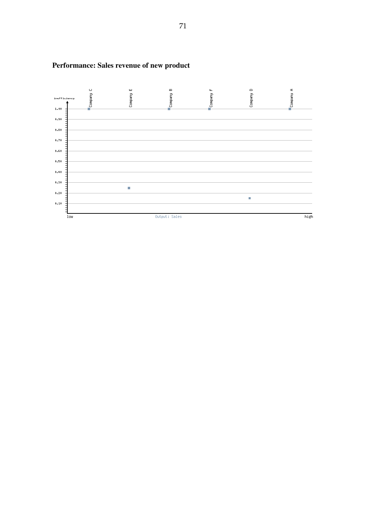

# **Performance: Sales revenue of new product**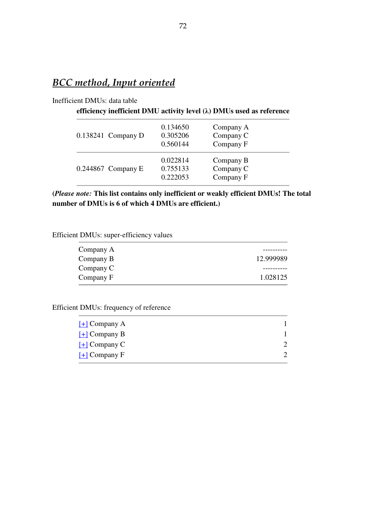# *BCC method, Input oriented*

#### Inefficient DMUs: data table

#### **efficiency inefficient DMU activity level (λ) DMUs used as reference**

| $0.138241$ Company D | 0.134650<br>0.305206<br>0.560144 | Company A<br>Company C<br>Company F |
|----------------------|----------------------------------|-------------------------------------|
| $0.244867$ Company E | 0.022814<br>0.755133<br>0.222053 | Company B<br>Company C<br>Company F |

**(***Please note:* **This list contains only inefficient or weakly efficient DMUs! The total number of DMUs is 6 of which 4 DMUs are efficient.)**

#### Efficient DMUs: super-efficiency values

| Company A |           |
|-----------|-----------|
| Company B | 12.999989 |
| Company C |           |
| Company F | 1.028125  |

### Efficient DMUs: frequency of reference

| $H$ Company A     |  |
|-------------------|--|
| $[H]$ Company B   |  |
| $[\pm]$ Company C |  |
| $[+]$ Company F   |  |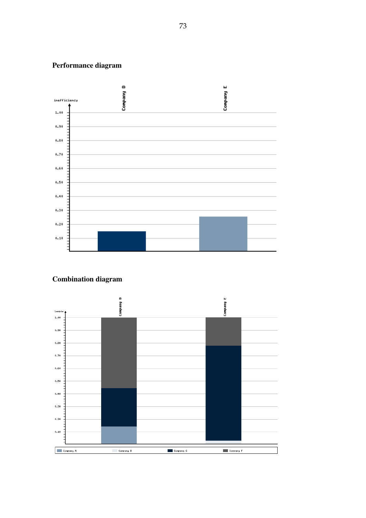## **Performance diagram**



## **Combination diagram**

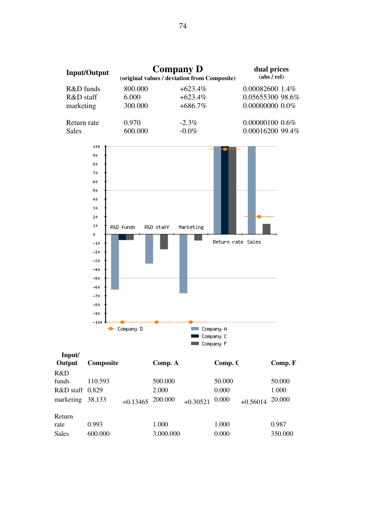



| Input/<br>Output | Composite |            | Comp. A   |            | Comp. C |            | Comp. F |  |
|------------------|-----------|------------|-----------|------------|---------|------------|---------|--|
| R&D              |           |            |           |            |         |            |         |  |
| funds            | 110.593   |            | 500.000   |            | 50.000  |            | 50.000  |  |
| R&D staff 0.829  |           |            | 2.000     |            | 0.000   |            | 1.000   |  |
| marketing        | 38.133    | $=0.13465$ | 200.000   | $+0.30521$ | 0.000   | $+0.56014$ | 20.000  |  |
| Return           |           |            |           |            |         |            |         |  |
| rate             | 0.993     |            | 1.000     |            | 1.000   |            | 0.987   |  |
| <b>Sales</b>     | 600.000   |            | 3,000.000 |            | 0.000   |            | 350.000 |  |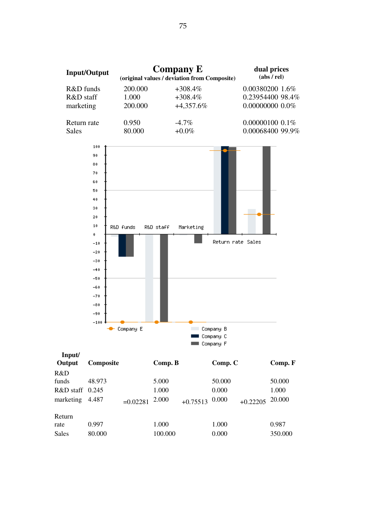

| llipuu<br>Output                                 | Composite       |            | Comp. B                 |            | Comp. C                  |            | Comp. F                   |
|--------------------------------------------------|-----------------|------------|-------------------------|------------|--------------------------|------------|---------------------------|
| R&D<br>funds<br>$R&D$ staff $0.245$<br>marketing | 48.973<br>4.487 | $=0.02281$ | 5.000<br>1.000<br>2.000 | $+0.75513$ | 50.000<br>0.000<br>0.000 | $+0.22205$ | 50.000<br>1.000<br>20.000 |
| Return<br>rate<br>Sales                          | 0.997<br>80.000 |            | 1.000<br>100.000        |            | 1.000<br>0.000           |            | 0.987<br>350.000          |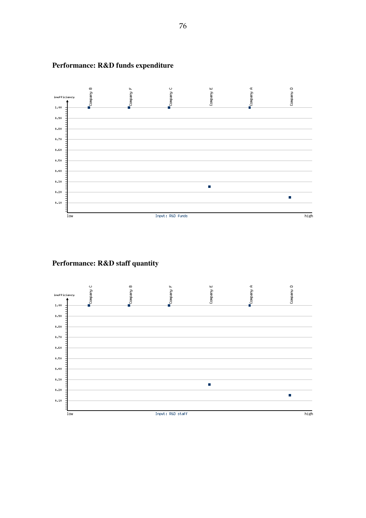

## **Performance: R&D funds expenditure**

## **Performance: R&D staff quantity**

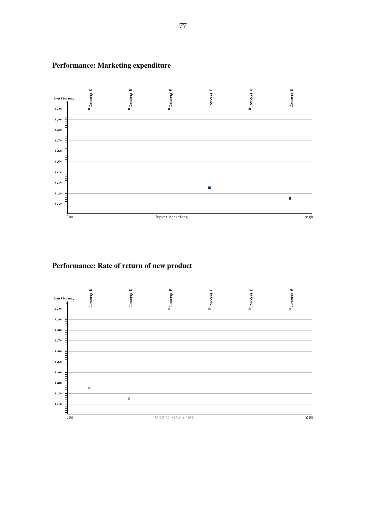

## **Performance: Marketing expenditure**

#### **Performance: Rate of return of new product**

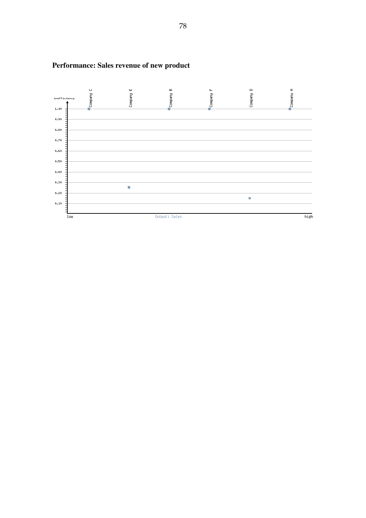

## **Performance: Sales revenue of new product**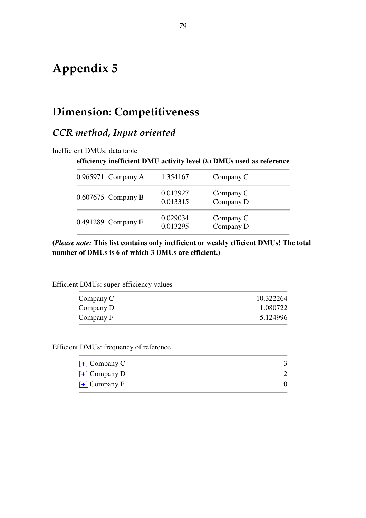# **Appendix 5**

## **Dimension: Competitiveness**

## *CCR method, Input oriented*

Inefficient DMUs: data table

#### **efficiency inefficient DMU activity level (λ) DMUs used as reference**

| $0.965971$ Company A | 1.354167             | Company C              |  |
|----------------------|----------------------|------------------------|--|
| $0.607675$ Company B | 0.013927<br>0.013315 | Company C<br>Company D |  |
| $0.491289$ Company E | 0.029034<br>0.013295 | Company C<br>Company D |  |

**(***Please note:* **This list contains only inefficient or weakly efficient DMUs! The total number of DMUs is 6 of which 3 DMUs are efficient.)**

Efficient DMUs: super-efficiency values

| Company C | 10.322264 |
|-----------|-----------|
| Company D | 1.080722  |
| Company F | 5.124996  |

Efficient DMUs: frequency of reference

| $\underline{[+]}$ Company C |  |
|-----------------------------|--|
| $\underline{[+]}$ Company D |  |
| $\underline{[+]}$ Company F |  |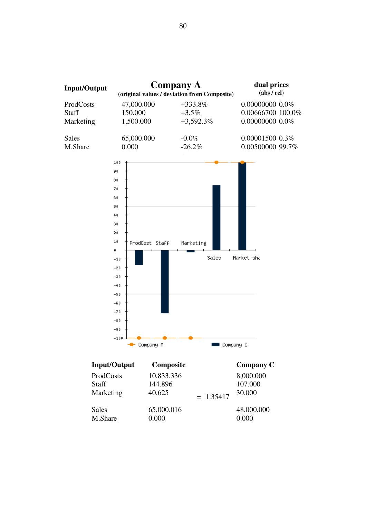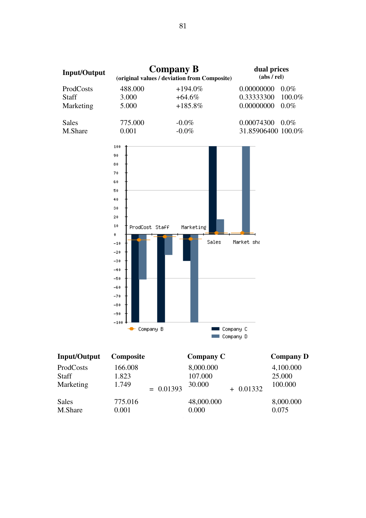

| ProdCosts<br><b>Staff</b><br>Marketing | 166.008<br>1.823<br>1.749 | $= 0.01393$ | 8,000.000<br>107.000<br>30.000 | $+ 0.01332$ | 4,100.000<br>25.000<br>100.000 |
|----------------------------------------|---------------------------|-------------|--------------------------------|-------------|--------------------------------|
| <b>Sales</b><br>M.Share                | 775.016<br>0.001          |             | 48,000.000<br>0.000            |             | 8,000.000<br>0.075             |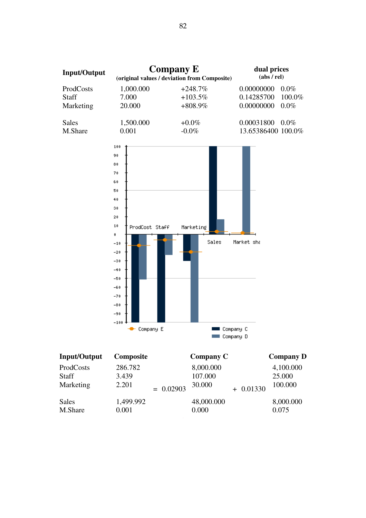

| <b>IIIpuvUutput</b>       | <b>Composite</b>   |             | $\mathbf{$ Company $\mathbf{\mathsf{C}}$ |             | Company D           |
|---------------------------|--------------------|-------------|------------------------------------------|-------------|---------------------|
| ProdCosts<br><b>Staff</b> | 286.782<br>3.439   |             | 8,000.000<br>107.000                     |             | 4,100.000<br>25.000 |
| Marketing                 | 2.201              | $= 0.02903$ | 30.000                                   | $+ 0.01330$ | 100.000             |
| Sales<br>M.Share          | 1,499.992<br>0.001 |             | 48,000.000<br>0.000                      |             | 8,000.000<br>0.075  |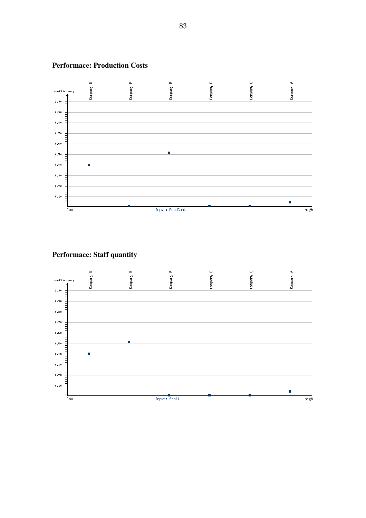

#### **Performace: Production Costs**

**Performace: Staff quantity**

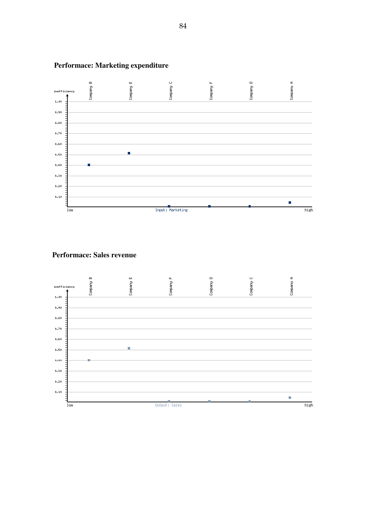

## **Performace: Marketing expenditure**

### **Performace: Sales revenue**

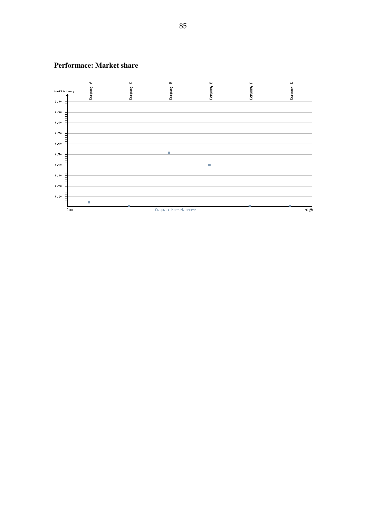

#### **Performace: Market share**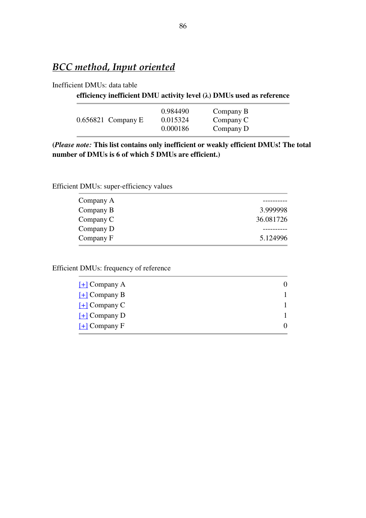## *BCC method, Input oriented*

#### Inefficient DMUs: data table

#### **efficiency inefficient DMU activity level (λ) DMUs used as reference**

|                      | 0.984490 | Company B |  |
|----------------------|----------|-----------|--|
| $0.656821$ Company E | 0.015324 | Company C |  |
|                      | 0.000186 | Company D |  |

**(***Please note:* **This list contains only inefficient or weakly efficient DMUs! The total number of DMUs is 6 of which 5 DMUs are efficient.)**

Efficient DMUs: super-efficiency values

| Company A |           |
|-----------|-----------|
| Company B | 3.999998  |
| Company C | 36.081726 |
| Company D |           |
| Company F | 5.124996  |
|           |           |

Efficient DMUs: frequency of reference

| $[\pm]$ Company A                      |  |
|----------------------------------------|--|
| $[+]$ Company B                        |  |
| $\lceil + \rceil$ Company C            |  |
| $\left[ \frac{1}{2} \right]$ Company D |  |
| $\underline{[+]}$ Company F            |  |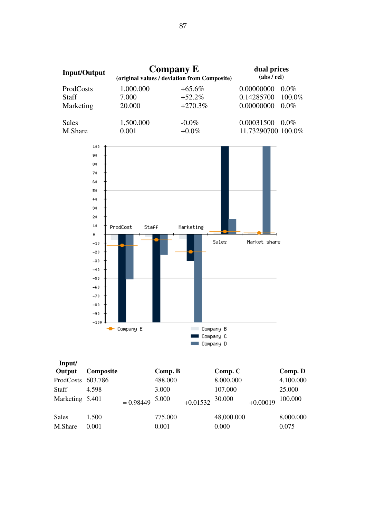

| Input/            |           |             |         |            |            |            |           |
|-------------------|-----------|-------------|---------|------------|------------|------------|-----------|
| Output            | Composite |             | Comp. B |            | Comp.C     |            | Comp. D   |
| ProdCosts 603.786 |           |             | 488.000 |            | 8,000.000  |            | 4,100.000 |
| <b>Staff</b>      | 4.598     |             | 3.000   |            | 107.000    |            | 25.000    |
| Marketing 5.401   |           | $= 0.98449$ | 5.000   | $+0.01532$ | 30.000     | $+0.00019$ | 100.000   |
|                   |           |             |         |            |            |            |           |
| Sales             | 1,500     |             | 775.000 |            | 48,000.000 |            | 8,000.000 |
| M.Share           | 0.001     |             | 0.001   |            | 0.000      |            | 0.075     |

Company C

Company D

m.

**College**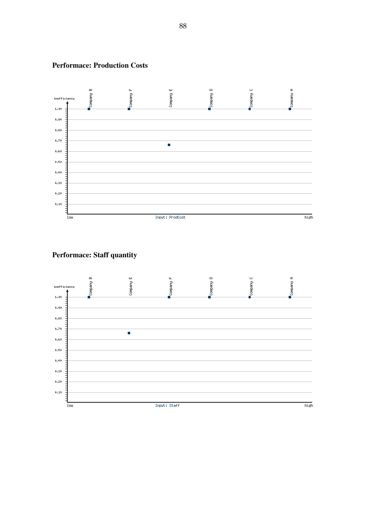

#### **Performace: Production Costs**

## **Performace: Staff quantity**

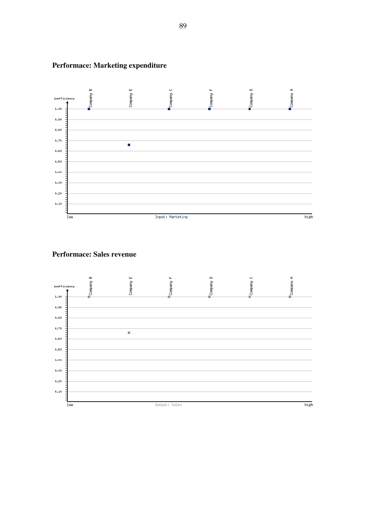

## **Performace: Marketing expenditure**

### **Performace: Sales revenue**